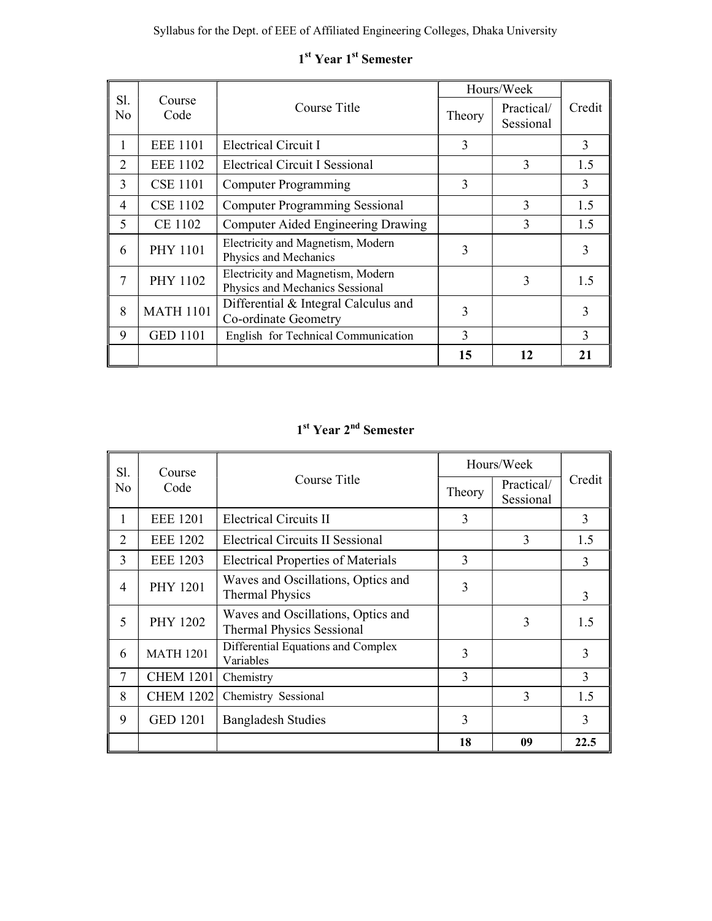|           |                  |                                                                      |        | Hours/Week              |              |
|-----------|------------------|----------------------------------------------------------------------|--------|-------------------------|--------------|
| Sl.<br>No | Course<br>Code   | Course Title                                                         | Theory | Practical/<br>Sessional | Credit       |
| л.        | <b>EEE</b> 1101  | Electrical Circuit I                                                 | 3      |                         | 3            |
| 2         | <b>EEE 1102</b>  | <b>Electrical Circuit I Sessional</b>                                |        | 3                       | 1.5          |
| 3         | <b>CSE 1101</b>  | $\mathcal{F}$<br><b>Computer Programming</b>                         |        |                         | 3            |
| 4         | <b>CSE 1102</b>  | <b>Computer Programming Sessional</b>                                |        | 3                       | 1.5          |
| 5         | CE 1102          | Computer Aided Engineering Drawing                                   |        | 3                       | 1.5          |
| 6         | <b>PHY 1101</b>  | Electricity and Magnetism, Modern<br>Physics and Mechanics           | 3      |                         | 3            |
| 7         | PHY 1102         | Electricity and Magnetism, Modern<br>Physics and Mechanics Sessional |        | 3                       | 1.5          |
| 8         | <b>MATH 1101</b> | Differential & Integral Calculus and<br>Co-ordinate Geometry         |        |                         | 3            |
| 9         | <b>GED 1101</b>  | 3<br>English for Technical Communication                             |        |                         | $\mathbf{3}$ |
|           |                  |                                                                      | 15     | 12                      | 21           |

# 1<sup>st</sup> Year 1<sup>st</sup> Semester

## 1<sup>st</sup> Year 2<sup>nd</sup> Semester

| Sl.<br>Course  |                  |                                                                        | Hours/Week |                         |               |
|----------------|------------------|------------------------------------------------------------------------|------------|-------------------------|---------------|
| N <sub>0</sub> | Code             | Course Title                                                           | Theory     | Practical/<br>Sessional | Credit        |
| 1              | <b>EEE 1201</b>  | <b>Electrical Circuits II</b>                                          | 3          |                         | 3             |
| 2              | <b>EEE 1202</b>  | <b>Electrical Circuits II Sessional</b>                                |            | 3                       | 1.5           |
| 3              | <b>EEE 1203</b>  | <b>Electrical Properties of Materials</b>                              | 3          |                         | 3             |
| 4              | <b>PHY 1201</b>  | Waves and Oscillations, Optics and<br><b>Thermal Physics</b>           | 3          |                         | 3             |
| 5              | <b>PHY 1202</b>  | Waves and Oscillations, Optics and<br><b>Thermal Physics Sessional</b> |            | 3                       | 1.5           |
| 6              | <b>MATH 1201</b> | Differential Equations and Complex<br>Variables                        | 3          |                         | 3             |
| 7              | <b>CHEM 1201</b> | Chemistry                                                              | 3          |                         | 3             |
| 8              | <b>CHEM 1202</b> | Chemistry Sessional                                                    |            | 3                       | 1.5           |
| 9              | <b>GED 1201</b>  | <b>Bangladesh Studies</b>                                              | 3          |                         | $\mathcal{E}$ |
|                |                  |                                                                        | 18         | 09                      | 22.5          |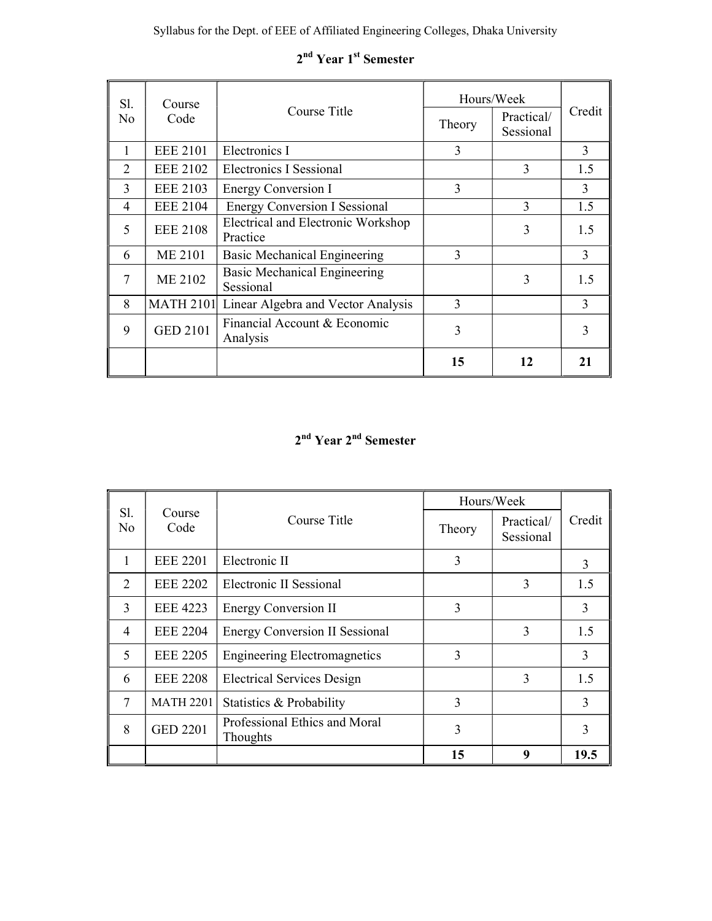| Sl.           | Course           |                                                  | Hours/Week |                         |              |  |
|---------------|------------------|--------------------------------------------------|------------|-------------------------|--------------|--|
| No            | Code             | Course Title                                     | Theory     | Practical/<br>Sessional | Credit       |  |
| 1             | <b>EEE 2101</b>  | Electronics I                                    | 3          |                         | 3            |  |
| $\mathcal{L}$ | <b>EEE 2102</b>  | Electronics I Sessional                          |            | 3                       | 1.5          |  |
| 3             | <b>EEE 2103</b>  | Energy Conversion I                              | 3          |                         | 3            |  |
| 4             | <b>EEE 2104</b>  | <b>Energy Conversion I Sessional</b><br>3        |            |                         | 1.5          |  |
| 5             | <b>EEE 2108</b>  | Electrical and Electronic Workshop<br>Practice   |            | 3                       | 1.5          |  |
| 6             | <b>ME 2101</b>   | <b>Basic Mechanical Engineering</b>              | 3          |                         | 3            |  |
| 7             | <b>ME 2102</b>   | <b>Basic Mechanical Engineering</b><br>Sessional |            | 3                       | 1.5          |  |
| 8             | <b>MATH 2101</b> | Linear Algebra and Vector Analysis               | 3          |                         | $\mathbf{3}$ |  |
| 9             | <b>GED 2101</b>  | Financial Account & Economic<br>3<br>Analysis    |            |                         |              |  |
|               |                  |                                                  | 15         | 12                      | 21           |  |

# 2<sup>nd</sup> Year 1<sup>st</sup> Semester

# 2<sup>nd</sup> Year 2<sup>nd</sup> Semester

|                |                  |                                                  | Hours/Week     |                         |              |
|----------------|------------------|--------------------------------------------------|----------------|-------------------------|--------------|
| Sl.<br>No      | Course<br>Code   | Course Title                                     | Theory         | Practical/<br>Sessional | Credit       |
|                | <b>EEE 2201</b>  | Electronic II                                    | 3              |                         | $\mathbf{3}$ |
| $\overline{2}$ | <b>EEE 2202</b>  | Electronic II Sessional                          |                | 3                       | 1.5          |
| 3              | <b>EEE 4223</b>  | <b>Energy Conversion II</b>                      | 3              |                         | 3            |
| $\overline{4}$ | <b>EEE 2204</b>  | <b>Energy Conversion II Sessional</b>            |                | 3                       | 1.5          |
| 5              | <b>EEE 2205</b>  | <b>Engineering Electromagnetics</b>              | 3              |                         | 3            |
| 6              | <b>EEE 2208</b>  | <b>Electrical Services Design</b>                |                | 3                       | 1.5          |
| 7              | <b>MATH 2201</b> | Statistics & Probability                         | $\overline{3}$ |                         | 3            |
| 8              | <b>GED 2201</b>  | Professional Ethics and Moral<br><b>Thoughts</b> | 3              |                         |              |
|                |                  |                                                  | 15             | 9                       | 19.5         |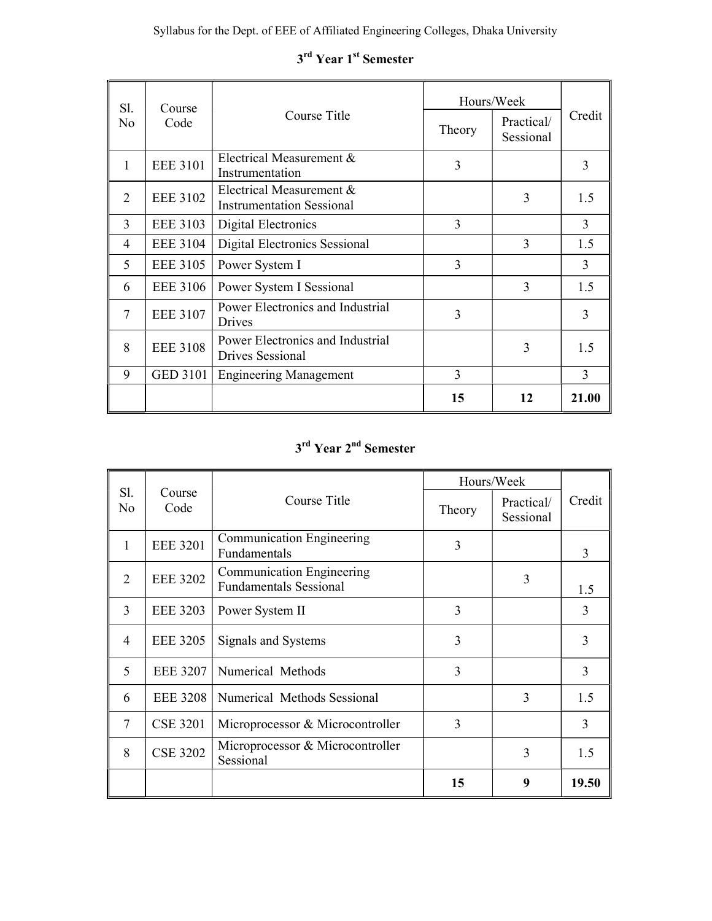| S1. | Course          |                                                              | Hours/Week |                         |        |
|-----|-----------------|--------------------------------------------------------------|------------|-------------------------|--------|
| No  | Code            | Course Title                                                 | Theory     | Practical/<br>Sessional | Credit |
| 1   | <b>EEE 3101</b> | Electrical Measurement &<br>Instrumentation                  | 3          |                         | 3      |
| 2   | <b>EEE 3102</b> | Electrical Measurement &<br><b>Instrumentation Sessional</b> |            | 3                       | 1.5    |
| 3   | <b>EEE 3103</b> | 3<br>Digital Electronics                                     |            |                         | 3      |
| 4   | <b>EEE 3104</b> | Digital Electronics Sessional                                |            | 3                       | 1.5    |
| 5   | <b>EEE 3105</b> | Power System I                                               | 3          |                         | 3      |
| 6   | <b>EEE 3106</b> | Power System I Sessional                                     |            | 3                       | 1.5    |
| 7   | <b>EEE 3107</b> | Power Electronics and Industrial<br>Drives                   | 3          |                         | 3      |
| 8   | <b>EEE 3108</b> | Power Electronics and Industrial<br>Drives Sessional         |            | 3                       | 1.5    |
| 9   | <b>GED 3101</b> | 3<br><b>Engineering Management</b>                           |            | 3                       |        |
|     |                 |                                                              | 15         | 12                      | 21.00  |

# 3<sup>rd</sup> Year 1<sup>st</sup> Semester

# 3<sup>rd</sup> Year 2<sup>nd</sup> Semester

|                |                 |                                                            |        | Hours/Week              |        |
|----------------|-----------------|------------------------------------------------------------|--------|-------------------------|--------|
| Sl.<br>No      | Course<br>Code  | Course Title                                               | Theory | Practical/<br>Sessional | Credit |
| 1              | <b>EEE 3201</b> | Communication Engineering<br>Fundamentals                  | 3      |                         | 3      |
| $\overline{2}$ | <b>EEE 3202</b> | Communication Engineering<br><b>Fundamentals Sessional</b> |        | 3                       | 1.5    |
| 3              | <b>EEE 3203</b> | Power System II                                            | 3      |                         | 3      |
| $\overline{4}$ | <b>EEE 3205</b> | Signals and Systems                                        | 3      |                         | 3      |
| 5              | <b>EEE 3207</b> | Numerical Methods                                          | 3      |                         | 3      |
| 6              | <b>EEE 3208</b> | Numerical Methods Sessional                                |        | 3                       | 1.5    |
| 7              | <b>CSE 3201</b> | Microprocessor & Microcontroller                           | 3      |                         | 3      |
| 8              | <b>CSE 3202</b> | Microprocessor & Microcontroller<br>Sessional              |        | 3                       | 1.5    |
|                |                 |                                                            | 15     | 9                       | 19.50  |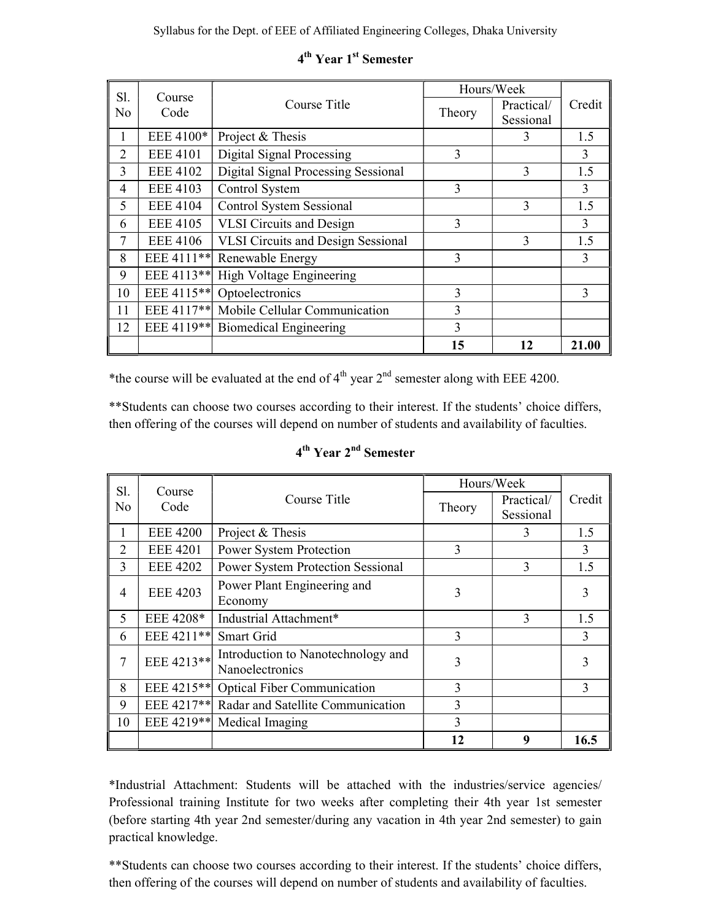| Sl.            | Course                 |                                           |        | Hours/Week |               |
|----------------|------------------------|-------------------------------------------|--------|------------|---------------|
| No             | Code                   | Course Title                              | Theory | Practical/ | Credit        |
|                |                        |                                           |        | Sessional  |               |
| 1              | EEE 4100*              | Project & Thesis                          |        | 3          | 1.5           |
| $\overline{2}$ | <b>EEE 4101</b>        | Digital Signal Processing                 | 3      |            | 3             |
| 3              | <b>EEE 4102</b>        | Digital Signal Processing Sessional       |        |            | 1.5           |
| 4              | <b>EEE 4103</b>        | 3<br>Control System                       |        |            | 3             |
| 5              | <b>EEE 4104</b>        | <b>Control System Sessional</b>           |        | 3          | 1.5           |
| 6              | <b>EEE 4105</b>        | <b>VLSI</b> Circuits and Design<br>3      |        |            | 3             |
| 7              | <b>EEE 4106</b>        | <b>VLSI Circuits and Design Sessional</b> |        | 3          | 1.5           |
| 8              | EEE 4111 <sup>**</sup> | Renewable Energy                          | 3      |            | 3             |
| 9              | EEE 4113**             | High Voltage Engineering                  |        |            |               |
| 10             | EEE 4115 <sup>**</sup> | Optoelectronics                           | 3      |            | $\mathcal{E}$ |
| 11             | EEE 4117**             | Mobile Cellular Communication<br>3        |        |            |               |
| 12             | EEE 4119**             | <b>Biomedical Engineering</b>             | 3      |            |               |
|                |                        |                                           | 15     | 12         | 21.00         |

# 4<sup>th</sup> Year 1<sup>st</sup> Semester

\*the course will be evaluated at the end of  $4<sup>th</sup>$  year  $2<sup>nd</sup>$  semester along with EEE 4200.

\*\*Students can choose two courses according to their interest. If the students' choice differs, then offering of the courses will depend on number of students and availability of faculties.

| Sl.<br>Course  |                        |                                                       |        | Hours/Week |        |
|----------------|------------------------|-------------------------------------------------------|--------|------------|--------|
| N <sub>0</sub> |                        | Course Title                                          |        | Practical/ | Credit |
|                | Code                   |                                                       | Theory | Sessional  |        |
|                | <b>EEE 4200</b>        | Project & Thesis                                      |        |            | 1.5    |
| 2              | <b>EEE 4201</b>        | Power System Protection                               | 3      |            | 3      |
| 3              | <b>EEE 4202</b>        | <b>Power System Protection Sessional</b>              |        | 3          | 1.5    |
| 4              | <b>EEE 4203</b>        | Power Plant Engineering and                           | 3      |            | 3      |
|                |                        | Economy                                               |        |            |        |
| 5              | EEE 4208*              | Industrial Attachment*                                |        | 3          | 1.5    |
| 6              | EEE 4211**             | Smart Grid                                            | 3      |            | 3      |
| 7              | EEE 4213**             | Introduction to Nanotechnology and<br>Nanoelectronics |        |            |        |
| 8              | EEE 4215 <sup>**</sup> | <b>Optical Fiber Communication</b>                    | 3      |            | 3      |
| 9              | EEE 4217**             | Radar and Satellite Communication<br>3                |        |            |        |
| 10             | EEE 4219**             | 3<br>Medical Imaging                                  |        |            |        |
|                |                        |                                                       | 12     | 9          | 16.5   |

# 4<sup>th</sup> Year 2<sup>nd</sup> Semester

\*Industrial Attachment: Students will be attached with the industries/service agencies/ Professional training Institute for two weeks after completing their 4th year 1st semester (before starting 4th year 2nd semester/during any vacation in 4th year 2nd semester) to gain practical knowledge.

\*\*Students can choose two courses according to their interest. If the students' choice differs, then offering of the courses will depend on number of students and availability of faculties.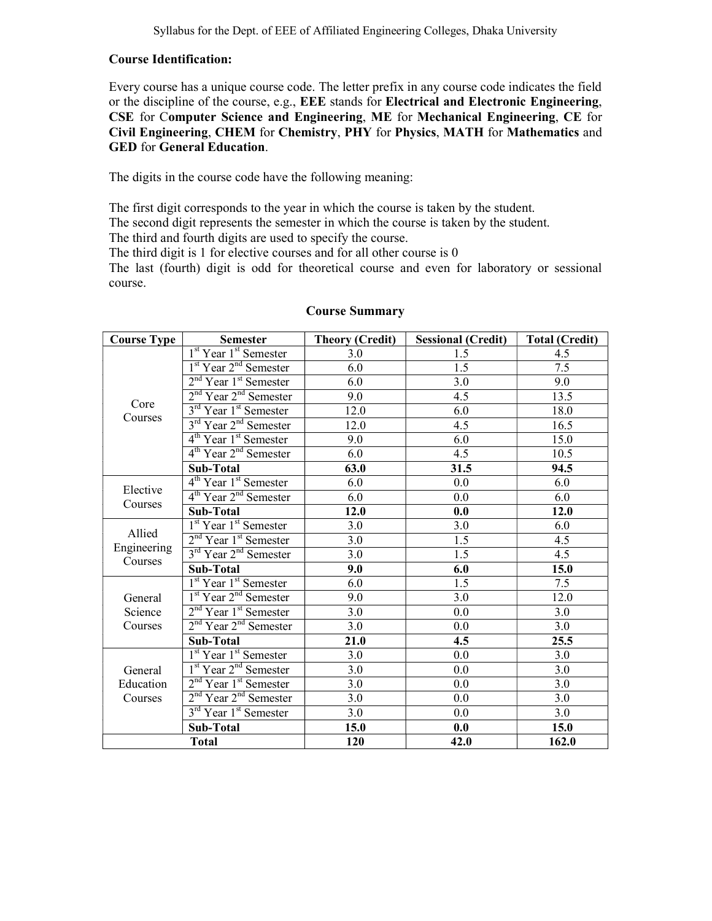#### Course Identification:

Every course has a unique course code. The letter prefix in any course code indicates the field or the discipline of the course, e.g., EEE stands for Electrical and Electronic Engineering, CSE for Computer Science and Engineering, ME for Mechanical Engineering, CE for Civil Engineering, CHEM for Chemistry, PHY for Physics, MATH for Mathematics and GED for General Education.

The digits in the course code have the following meaning:

The first digit corresponds to the year in which the course is taken by the student. The second digit represents the semester in which the course is taken by the student.

The third and fourth digits are used to specify the course.

The third digit is 1 for elective courses and for all other course is 0

The last (fourth) digit is odd for theoretical course and even for laboratory or sessional course.

| <b>Course Type</b>     | <b>Semester</b>                               | <b>Theory (Credit)</b> | <b>Sessional (Credit)</b> | <b>Total (Credit)</b> |
|------------------------|-----------------------------------------------|------------------------|---------------------------|-----------------------|
|                        | $1st$ Year 1 <sup>st</sup> Semester           | 3.0                    | 1.5                       | 4.5                   |
|                        | 1 <sup>st</sup> Year 2 <sup>nd</sup> Semester | 6.0                    | 1.5                       | 7.5                   |
|                        | $2nd$ Year $1st$ Semester                     | 6.0                    | 3.0                       | 9.0                   |
| Core                   | $2nd$ Year $2nd$ Semester                     | 9.0                    | 4.5                       | 13.5                  |
| Courses                | 3 <sup>rd</sup> Year 1 <sup>st</sup> Semester | 12.0                   | 6.0                       | 18.0                  |
|                        | 3 <sup>rd</sup> Year 2 <sup>nd</sup> Semester | 12.0                   | 4.5                       | 16.5                  |
|                        | $4th$ Year 1 <sup>st</sup> Semester           | 9.0                    | 6.0                       | 15.0                  |
|                        | 4 <sup>th</sup> Year 2 <sup>nd</sup> Semester | 6.0                    | 4.5                       | 10.5                  |
|                        | Sub-Total                                     | 63.0                   | 31.5                      | 94.5                  |
| Elective               | 4 <sup>th</sup> Year 1 <sup>st</sup> Semester | 6.0                    | 0.0                       | 6.0                   |
| Courses                | 4 <sup>th</sup> Year 2 <sup>nd</sup> Semester | 6.0                    | 0.0                       | 6.0                   |
|                        | <b>Sub-Total</b>                              | 12.0                   | 0.0                       | 12.0                  |
|                        | 1 <sup>st</sup> Year 1 <sup>st</sup> Semester | 3.0                    | 3.0                       | 6.0                   |
| Allied                 | $2nd$ Year 1 <sup>st</sup> Semester           | 3.0                    | 1.5                       | 4.5                   |
| Engineering<br>Courses | 3 <sup>rd</sup> Year 2 <sup>nd</sup> Semester | 3.0                    | 1.5                       | 4.5                   |
|                        | <b>Sub-Total</b>                              | 9.0                    | 6.0                       | 15.0                  |
|                        | 1 <sup>st</sup> Year 1 <sup>st</sup> Semester | 6.0                    | 1.5                       | 7.5                   |
| General                | 1 <sup>st</sup> Year 2 <sup>nd</sup> Semester | 9.0                    | 3.0                       | 12.0                  |
| Science                | $2nd$ Year 1 <sup>st</sup> Semester           | 3.0                    | 0.0                       | 3.0                   |
| Courses                | 2 <sup>nd</sup> Year 2 <sup>nd</sup> Semester | 3.0                    | 0.0                       | 3.0                   |
|                        | Sub-Total                                     | 21.0                   | 4.5                       | 25.5                  |
|                        | 1 <sup>st</sup> Year 1 <sup>st</sup> Semester | 3.0                    | 0.0                       | 3.0                   |
| General                | 1 <sup>st</sup> Year 2 <sup>nd</sup> Semester | 3.0                    | 0.0                       | 3.0                   |
| Education              | $2nd$ Year 1 <sup>st</sup> Semester           | 3.0                    | 0.0                       | 3.0                   |
| Courses                | 2 <sup>nd</sup> Year 2 <sup>nd</sup> Semester | 3.0                    | 0.0                       | 3.0                   |
|                        | 3 <sup>rd</sup> Year 1 <sup>st</sup> Semester | 3.0                    | 0.0                       | 3.0                   |
|                        | Sub-Total                                     | 15.0                   | 0.0                       | 15.0                  |
| <b>Total</b>           |                                               | 120                    | 42.0                      | 162.0                 |

#### Course Summary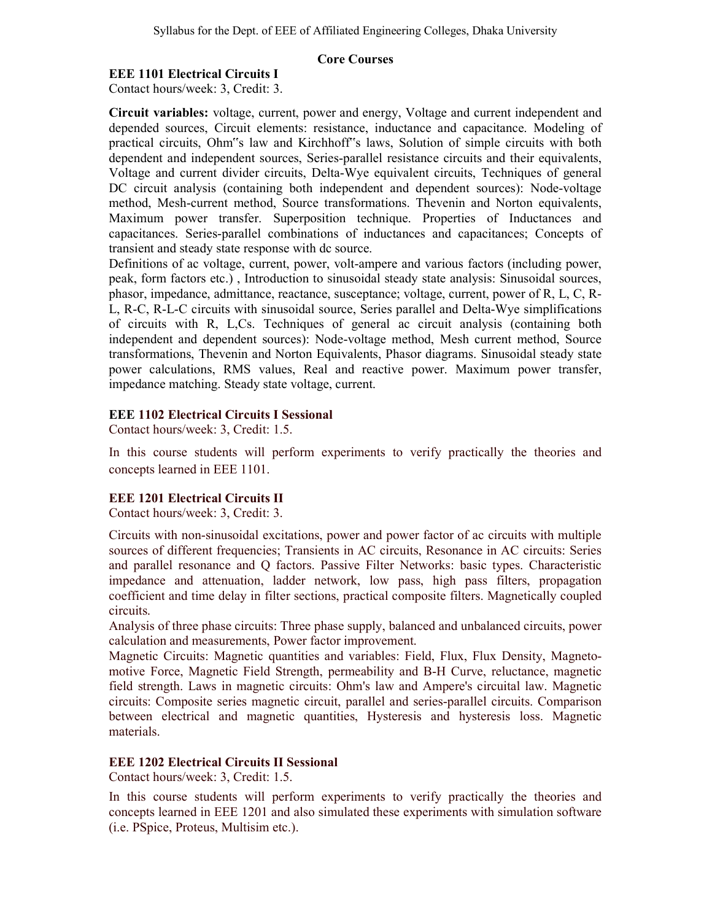#### Core Courses

### EEE 1101 Electrical Circuits I

Contact hours/week: 3, Credit: 3.

Circuit variables: voltage, current, power and energy, Voltage and current independent and depended sources, Circuit elements: resistance, inductance and capacitance. Modeling of practical circuits, Ohm"s law and Kirchhoff"s laws, Solution of simple circuits with both dependent and independent sources, Series-parallel resistance circuits and their equivalents, Voltage and current divider circuits, Delta-Wye equivalent circuits, Techniques of general DC circuit analysis (containing both independent and dependent sources): Node-voltage method, Mesh-current method, Source transformations. Thevenin and Norton equivalents, Maximum power transfer. Superposition technique. Properties of Inductances and capacitances. Series-parallel combinations of inductances and capacitances; Concepts of transient and steady state response with dc source.

Definitions of ac voltage, current, power, volt-ampere and various factors (including power, peak, form factors etc.) , Introduction to sinusoidal steady state analysis: Sinusoidal sources, phasor, impedance, admittance, reactance, susceptance; voltage, current, power of R, L, C, R-L, R-C, R-L-C circuits with sinusoidal source, Series parallel and Delta-Wye simplifications of circuits with R, L,Cs. Techniques of general ac circuit analysis (containing both independent and dependent sources): Node-voltage method, Mesh current method, Source transformations, Thevenin and Norton Equivalents, Phasor diagrams. Sinusoidal steady state power calculations, RMS values, Real and reactive power. Maximum power transfer, impedance matching. Steady state voltage, current.

## EEE 1102 Electrical Circuits I Sessional

Contact hours/week: 3, Credit: 1.5.

In this course students will perform experiments to verify practically the theories and concepts learned in EEE 1101.

## EEE 1201 Electrical Circuits II

Contact hours/week: 3, Credit: 3.

Circuits with non-sinusoidal excitations, power and power factor of ac circuits with multiple sources of different frequencies; Transients in AC circuits, Resonance in AC circuits: Series and parallel resonance and Q factors. Passive Filter Networks: basic types. Characteristic impedance and attenuation, ladder network, low pass, high pass filters, propagation coefficient and time delay in filter sections, practical composite filters. Magnetically coupled circuits.

Analysis of three phase circuits: Three phase supply, balanced and unbalanced circuits, power calculation and measurements, Power factor improvement.

Magnetic Circuits: Magnetic quantities and variables: Field, Flux, Flux Density, Magnetomotive Force, Magnetic Field Strength, permeability and B-H Curve, reluctance, magnetic field strength. Laws in magnetic circuits: Ohm's law and Ampere's circuital law. Magnetic circuits: Composite series magnetic circuit, parallel and series-parallel circuits. Comparison between electrical and magnetic quantities, Hysteresis and hysteresis loss. Magnetic materials.

## EEE 1202 Electrical Circuits II Sessional

Contact hours/week: 3, Credit: 1.5.

In this course students will perform experiments to verify practically the theories and concepts learned in EEE 1201 and also simulated these experiments with simulation software (i.e. PSpice, Proteus, Multisim etc.).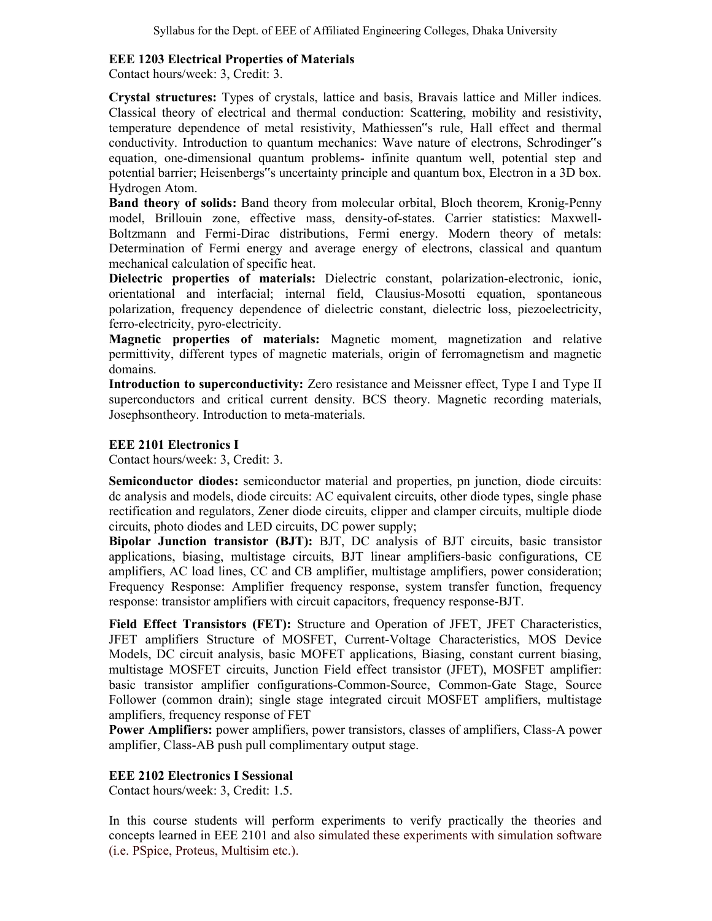### EEE 1203 Electrical Properties of Materials

Contact hours/week: 3, Credit: 3.

Crystal structures: Types of crystals, lattice and basis, Bravais lattice and Miller indices. Classical theory of electrical and thermal conduction: Scattering, mobility and resistivity, temperature dependence of metal resistivity, Mathiessen"s rule, Hall effect and thermal conductivity. Introduction to quantum mechanics: Wave nature of electrons, Schrodinger"s equation, one-dimensional quantum problems- infinite quantum well, potential step and potential barrier; Heisenbergs"s uncertainty principle and quantum box, Electron in a 3D box. Hydrogen Atom.

Band theory of solids: Band theory from molecular orbital, Bloch theorem, Kronig-Penny model, Brillouin zone, effective mass, density-of-states. Carrier statistics: Maxwell-Boltzmann and Fermi-Dirac distributions, Fermi energy. Modern theory of metals: Determination of Fermi energy and average energy of electrons, classical and quantum mechanical calculation of specific heat.

Dielectric properties of materials: Dielectric constant, polarization-electronic, ionic, orientational and interfacial; internal field, Clausius-Mosotti equation, spontaneous polarization, frequency dependence of dielectric constant, dielectric loss, piezoelectricity, ferro-electricity, pyro-electricity.

Magnetic properties of materials: Magnetic moment, magnetization and relative permittivity, different types of magnetic materials, origin of ferromagnetism and magnetic domains.

Introduction to superconductivity: Zero resistance and Meissner effect, Type I and Type II superconductors and critical current density. BCS theory. Magnetic recording materials, Josephsontheory. Introduction to meta-materials.

## EEE 2101 Electronics I

Contact hours/week: 3, Credit: 3.

Semiconductor diodes: semiconductor material and properties, pn junction, diode circuits: dc analysis and models, diode circuits: AC equivalent circuits, other diode types, single phase rectification and regulators, Zener diode circuits, clipper and clamper circuits, multiple diode circuits, photo diodes and LED circuits, DC power supply;

Bipolar Junction transistor (BJT): BJT, DC analysis of BJT circuits, basic transistor applications, biasing, multistage circuits, BJT linear amplifiers-basic configurations, CE amplifiers, AC load lines, CC and CB amplifier, multistage amplifiers, power consideration; Frequency Response: Amplifier frequency response, system transfer function, frequency response: transistor amplifiers with circuit capacitors, frequency response-BJT.

Field Effect Transistors (FET): Structure and Operation of JFET, JFET Characteristics, JFET amplifiers Structure of MOSFET, Current-Voltage Characteristics, MOS Device Models, DC circuit analysis, basic MOFET applications, Biasing, constant current biasing, multistage MOSFET circuits, Junction Field effect transistor (JFET), MOSFET amplifier: basic transistor amplifier configurations-Common-Source, Common-Gate Stage, Source Follower (common drain); single stage integrated circuit MOSFET amplifiers, multistage amplifiers, frequency response of FET

Power Amplifiers: power amplifiers, power transistors, classes of amplifiers, Class-A power amplifier, Class-AB push pull complimentary output stage.

## EEE 2102 Electronics I Sessional

Contact hours/week: 3, Credit: 1.5.

In this course students will perform experiments to verify practically the theories and concepts learned in EEE 2101 and also simulated these experiments with simulation software (i.e. PSpice, Proteus, Multisim etc.).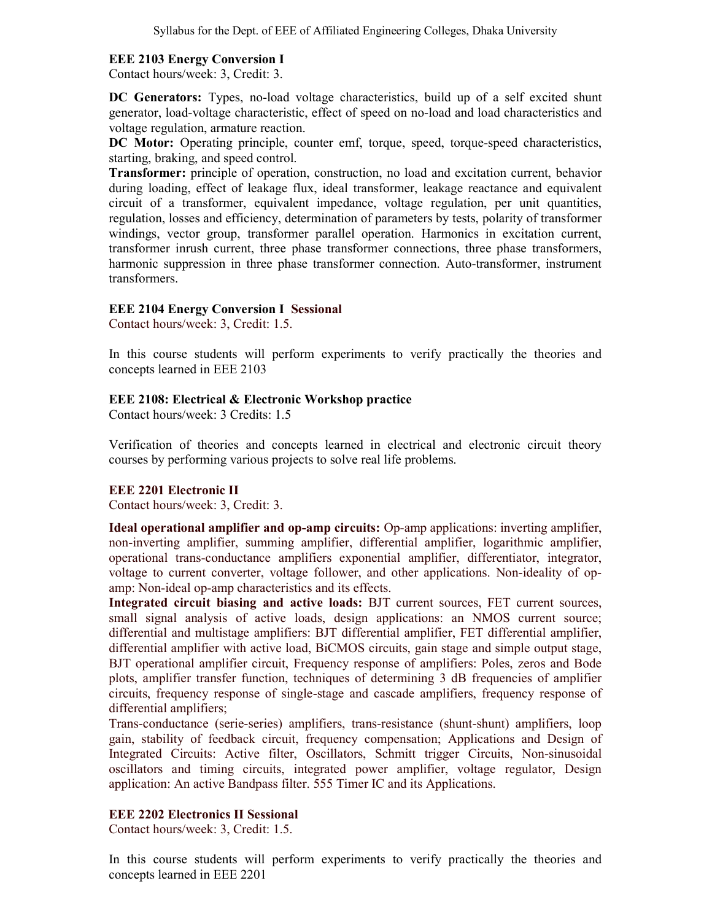## EEE 2103 Energy Conversion I

Contact hours/week: 3, Credit: 3.

DC Generators: Types, no-load voltage characteristics, build up of a self excited shunt generator, load-voltage characteristic, effect of speed on no-load and load characteristics and voltage regulation, armature reaction.

DC Motor: Operating principle, counter emf, torque, speed, torque-speed characteristics, starting, braking, and speed control.

Transformer: principle of operation, construction, no load and excitation current, behavior during loading, effect of leakage flux, ideal transformer, leakage reactance and equivalent circuit of a transformer, equivalent impedance, voltage regulation, per unit quantities, regulation, losses and efficiency, determination of parameters by tests, polarity of transformer windings, vector group, transformer parallel operation. Harmonics in excitation current, transformer inrush current, three phase transformer connections, three phase transformers, harmonic suppression in three phase transformer connection. Auto-transformer, instrument transformers.

#### EEE 2104 Energy Conversion I Sessional

Contact hours/week: 3, Credit: 1.5.

In this course students will perform experiments to verify practically the theories and concepts learned in EEE 2103

#### EEE 2108: Electrical & Electronic Workshop practice

Contact hours/week: 3 Credits: 1.5

Verification of theories and concepts learned in electrical and electronic circuit theory courses by performing various projects to solve real life problems.

#### EEE 2201 Electronic II

Contact hours/week: 3, Credit: 3.

Ideal operational amplifier and op-amp circuits: Op-amp applications: inverting amplifier, non-inverting amplifier, summing amplifier, differential amplifier, logarithmic amplifier, operational trans-conductance amplifiers exponential amplifier, differentiator, integrator, voltage to current converter, voltage follower, and other applications. Non-ideality of opamp: Non-ideal op-amp characteristics and its effects.

Integrated circuit biasing and active loads: BJT current sources, FET current sources, small signal analysis of active loads, design applications: an NMOS current source; differential and multistage amplifiers: BJT differential amplifier, FET differential amplifier, differential amplifier with active load, BiCMOS circuits, gain stage and simple output stage, BJT operational amplifier circuit, Frequency response of amplifiers: Poles, zeros and Bode plots, amplifier transfer function, techniques of determining 3 dB frequencies of amplifier circuits, frequency response of single-stage and cascade amplifiers, frequency response of differential amplifiers;

Trans-conductance (serie-series) amplifiers, trans-resistance (shunt-shunt) amplifiers, loop gain, stability of feedback circuit, frequency compensation; Applications and Design of Integrated Circuits: Active filter, Oscillators, Schmitt trigger Circuits, Non-sinusoidal oscillators and timing circuits, integrated power amplifier, voltage regulator, Design application: An active Bandpass filter. 555 Timer IC and its Applications.

#### EEE 2202 Electronics II Sessional

Contact hours/week: 3, Credit: 1.5.

In this course students will perform experiments to verify practically the theories and concepts learned in EEE 2201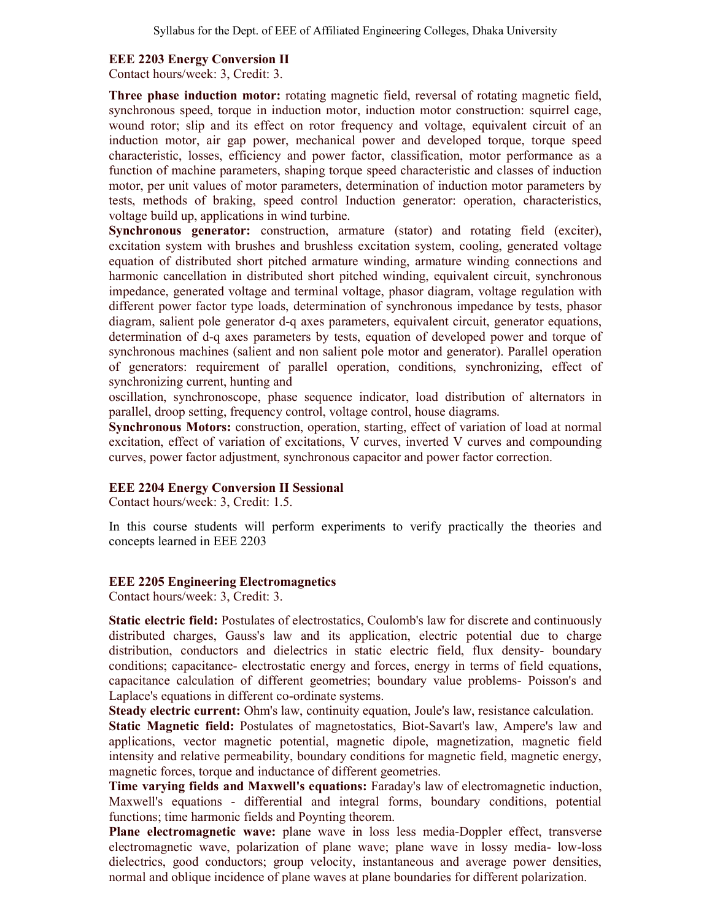#### EEE 2203 Energy Conversion II

Contact hours/week: 3, Credit: 3.

Three phase induction motor: rotating magnetic field, reversal of rotating magnetic field, synchronous speed, torque in induction motor, induction motor construction: squirrel cage, wound rotor; slip and its effect on rotor frequency and voltage, equivalent circuit of an induction motor, air gap power, mechanical power and developed torque, torque speed characteristic, losses, efficiency and power factor, classification, motor performance as a function of machine parameters, shaping torque speed characteristic and classes of induction motor, per unit values of motor parameters, determination of induction motor parameters by tests, methods of braking, speed control Induction generator: operation, characteristics, voltage build up, applications in wind turbine.

Synchronous generator: construction, armature (stator) and rotating field (exciter), excitation system with brushes and brushless excitation system, cooling, generated voltage equation of distributed short pitched armature winding, armature winding connections and harmonic cancellation in distributed short pitched winding, equivalent circuit, synchronous impedance, generated voltage and terminal voltage, phasor diagram, voltage regulation with different power factor type loads, determination of synchronous impedance by tests, phasor diagram, salient pole generator d-q axes parameters, equivalent circuit, generator equations, determination of d-q axes parameters by tests, equation of developed power and torque of synchronous machines (salient and non salient pole motor and generator). Parallel operation of generators: requirement of parallel operation, conditions, synchronizing, effect of synchronizing current, hunting and

oscillation, synchronoscope, phase sequence indicator, load distribution of alternators in parallel, droop setting, frequency control, voltage control, house diagrams.

Synchronous Motors: construction, operation, starting, effect of variation of load at normal excitation, effect of variation of excitations, V curves, inverted V curves and compounding curves, power factor adjustment, synchronous capacitor and power factor correction.

#### EEE 2204 Energy Conversion II Sessional

Contact hours/week: 3, Credit: 1.5.

In this course students will perform experiments to verify practically the theories and concepts learned in EEE 2203

#### EEE 2205 Engineering Electromagnetics

Contact hours/week: 3, Credit: 3.

Static electric field: Postulates of electrostatics, Coulomb's law for discrete and continuously distributed charges, Gauss's law and its application, electric potential due to charge distribution, conductors and dielectrics in static electric field, flux density- boundary conditions; capacitance- electrostatic energy and forces, energy in terms of field equations, capacitance calculation of different geometries; boundary value problems- Poisson's and Laplace's equations in different co-ordinate systems.

Steady electric current: Ohm's law, continuity equation, Joule's law, resistance calculation.

Static Magnetic field: Postulates of magnetostatics, Biot-Savart's law, Ampere's law and applications, vector magnetic potential, magnetic dipole, magnetization, magnetic field intensity and relative permeability, boundary conditions for magnetic field, magnetic energy, magnetic forces, torque and inductance of different geometries.

Time varying fields and Maxwell's equations: Faraday's law of electromagnetic induction, Maxwell's equations - differential and integral forms, boundary conditions, potential functions; time harmonic fields and Poynting theorem.

Plane electromagnetic wave: plane wave in loss less media-Doppler effect, transverse electromagnetic wave, polarization of plane wave; plane wave in lossy media- low-loss dielectrics, good conductors; group velocity, instantaneous and average power densities, normal and oblique incidence of plane waves at plane boundaries for different polarization.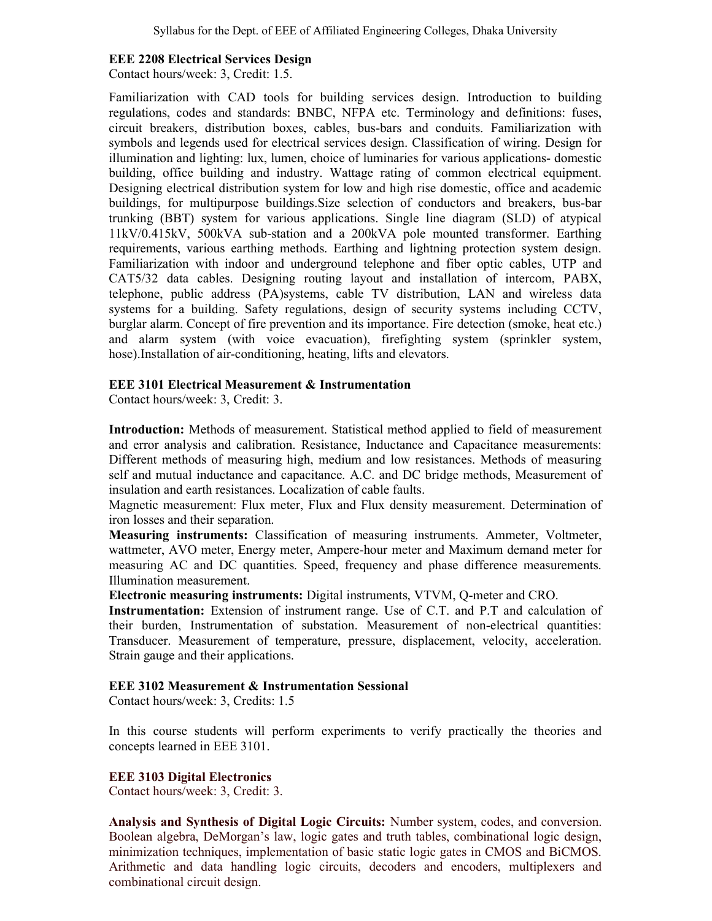#### EEE 2208 Electrical Services Design

Contact hours/week: 3, Credit: 1.5.

Familiarization with CAD tools for building services design. Introduction to building regulations, codes and standards: BNBC, NFPA etc. Terminology and definitions: fuses, circuit breakers, distribution boxes, cables, bus-bars and conduits. Familiarization with symbols and legends used for electrical services design. Classification of wiring. Design for illumination and lighting: lux, lumen, choice of luminaries for various applications- domestic building, office building and industry. Wattage rating of common electrical equipment. Designing electrical distribution system for low and high rise domestic, office and academic buildings, for multipurpose buildings.Size selection of conductors and breakers, bus-bar trunking (BBT) system for various applications. Single line diagram (SLD) of atypical 11kV/0.415kV, 500kVA sub-station and a 200kVA pole mounted transformer. Earthing requirements, various earthing methods. Earthing and lightning protection system design. Familiarization with indoor and underground telephone and fiber optic cables, UTP and CAT5/32 data cables. Designing routing layout and installation of intercom, PABX, telephone, public address (PA)systems, cable TV distribution, LAN and wireless data systems for a building. Safety regulations, design of security systems including CCTV, burglar alarm. Concept of fire prevention and its importance. Fire detection (smoke, heat etc.) and alarm system (with voice evacuation), firefighting system (sprinkler system, hose).Installation of air-conditioning, heating, lifts and elevators.

#### EEE 3101 Electrical Measurement & Instrumentation

Contact hours/week: 3, Credit: 3.

Introduction: Methods of measurement. Statistical method applied to field of measurement and error analysis and calibration. Resistance, Inductance and Capacitance measurements: Different methods of measuring high, medium and low resistances. Methods of measuring self and mutual inductance and capacitance. A.C. and DC bridge methods, Measurement of insulation and earth resistances. Localization of cable faults.

Magnetic measurement: Flux meter, Flux and Flux density measurement. Determination of iron losses and their separation.

Measuring instruments: Classification of measuring instruments. Ammeter, Voltmeter, wattmeter, AVO meter, Energy meter, Ampere-hour meter and Maximum demand meter for measuring AC and DC quantities. Speed, frequency and phase difference measurements. Illumination measurement.

Electronic measuring instruments: Digital instruments, VTVM, Q-meter and CRO.

Instrumentation: Extension of instrument range. Use of C.T. and P.T and calculation of their burden, Instrumentation of substation. Measurement of non-electrical quantities: Transducer. Measurement of temperature, pressure, displacement, velocity, acceleration. Strain gauge and their applications.

#### EEE 3102 Measurement & Instrumentation Sessional

Contact hours/week: 3, Credits: 1.5

In this course students will perform experiments to verify practically the theories and concepts learned in EEE 3101.

#### EEE 3103 Digital Electronics

Contact hours/week: 3, Credit: 3.

Analysis and Synthesis of Digital Logic Circuits: Number system, codes, and conversion. Boolean algebra, DeMorgan's law, logic gates and truth tables, combinational logic design, minimization techniques, implementation of basic static logic gates in CMOS and BiCMOS. Arithmetic and data handling logic circuits, decoders and encoders, multiplexers and combinational circuit design.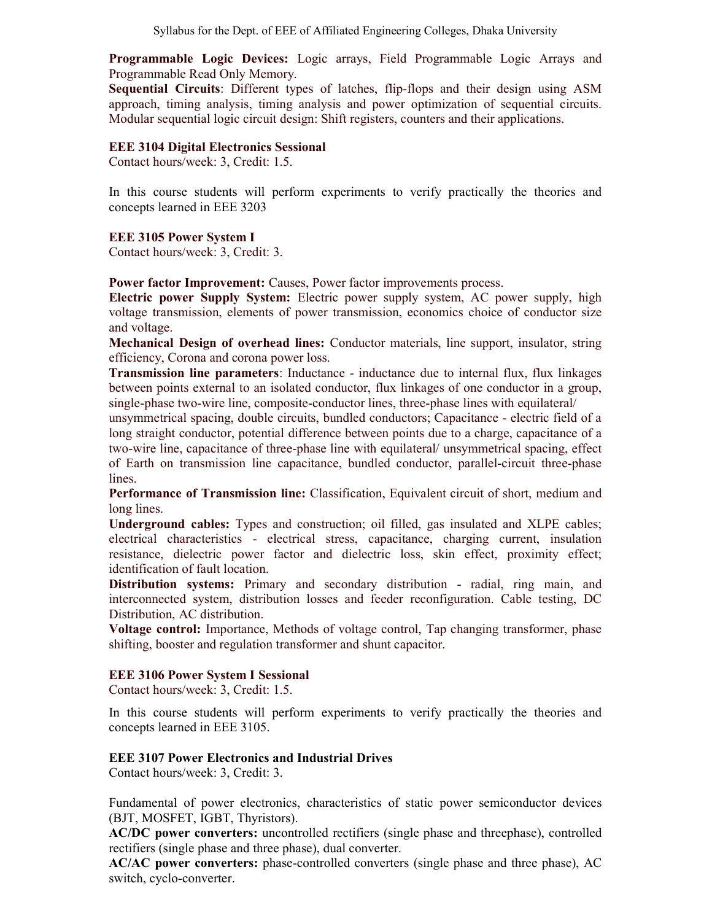Syllabus for the Dept. of EEE of Affiliated Engineering Colleges, Dhaka University

Programmable Logic Devices: Logic arrays, Field Programmable Logic Arrays and Programmable Read Only Memory.

Sequential Circuits: Different types of latches, flip-flops and their design using ASM approach, timing analysis, timing analysis and power optimization of sequential circuits. Modular sequential logic circuit design: Shift registers, counters and their applications.

### EEE 3104 Digital Electronics Sessional

Contact hours/week: 3, Credit: 1.5.

In this course students will perform experiments to verify practically the theories and concepts learned in EEE 3203

EEE 3105 Power System I

Contact hours/week: 3, Credit: 3.

Power factor Improvement: Causes, Power factor improvements process.

Electric power Supply System: Electric power supply system, AC power supply, high voltage transmission, elements of power transmission, economics choice of conductor size and voltage.

Mechanical Design of overhead lines: Conductor materials, line support, insulator, string efficiency, Corona and corona power loss.

**Transmission line parameters:** Inductance - inductance due to internal flux, flux linkages between points external to an isolated conductor, flux linkages of one conductor in a group, single-phase two-wire line, composite-conductor lines, three-phase lines with equilateral/

unsymmetrical spacing, double circuits, bundled conductors; Capacitance - electric field of a long straight conductor, potential difference between points due to a charge, capacitance of a two-wire line, capacitance of three-phase line with equilateral/ unsymmetrical spacing, effect of Earth on transmission line capacitance, bundled conductor, parallel-circuit three-phase lines.

Performance of Transmission line: Classification, Equivalent circuit of short, medium and long lines.

Underground cables: Types and construction; oil filled, gas insulated and XLPE cables; electrical characteristics - electrical stress, capacitance, charging current, insulation resistance, dielectric power factor and dielectric loss, skin effect, proximity effect; identification of fault location.

Distribution systems: Primary and secondary distribution - radial, ring main, and interconnected system, distribution losses and feeder reconfiguration. Cable testing, DC Distribution, AC distribution.

Voltage control: Importance, Methods of voltage control, Tap changing transformer, phase shifting, booster and regulation transformer and shunt capacitor.

## EEE 3106 Power System I Sessional

Contact hours/week: 3, Credit: 1.5.

In this course students will perform experiments to verify practically the theories and concepts learned in EEE 3105.

## EEE 3107 Power Electronics and Industrial Drives

Contact hours/week: 3, Credit: 3.

Fundamental of power electronics, characteristics of static power semiconductor devices (BJT, MOSFET, IGBT, Thyristors).

AC/DC power converters: uncontrolled rectifiers (single phase and threephase), controlled rectifiers (single phase and three phase), dual converter.

AC/AC power converters: phase-controlled converters (single phase and three phase), AC switch, cyclo-converter.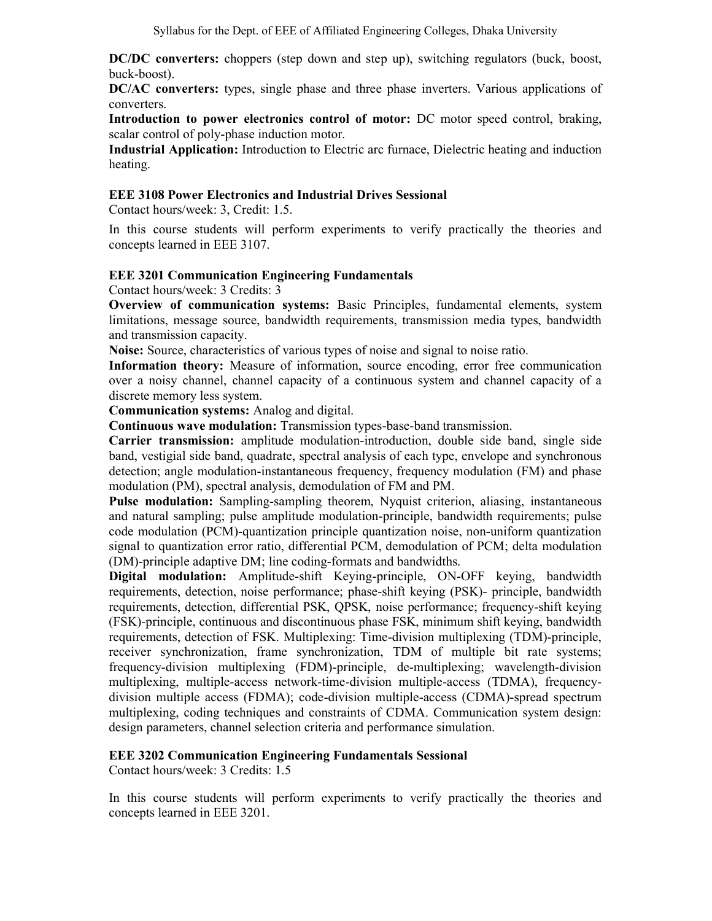DC/DC converters: choppers (step down and step up), switching regulators (buck, boost, buck-boost).

DC/AC converters: types, single phase and three phase inverters. Various applications of converters.

Introduction to power electronics control of motor: DC motor speed control, braking, scalar control of poly-phase induction motor.

Industrial Application: Introduction to Electric arc furnace, Dielectric heating and induction heating.

#### EEE 3108 Power Electronics and Industrial Drives Sessional

Contact hours/week: 3, Credit: 1.5.

In this course students will perform experiments to verify practically the theories and concepts learned in EEE 3107.

#### EEE 3201 Communication Engineering Fundamentals

Contact hours/week: 3 Credits: 3

Overview of communication systems: Basic Principles, fundamental elements, system limitations, message source, bandwidth requirements, transmission media types, bandwidth and transmission capacity.

Noise: Source, characteristics of various types of noise and signal to noise ratio.

Information theory: Measure of information, source encoding, error free communication over a noisy channel, channel capacity of a continuous system and channel capacity of a discrete memory less system.

Communication systems: Analog and digital.

Continuous wave modulation: Transmission types-base-band transmission.

Carrier transmission: amplitude modulation-introduction, double side band, single side band, vestigial side band, quadrate, spectral analysis of each type, envelope and synchronous detection; angle modulation-instantaneous frequency, frequency modulation (FM) and phase modulation (PM), spectral analysis, demodulation of FM and PM.

Pulse modulation: Sampling-sampling theorem, Nyquist criterion, aliasing, instantaneous and natural sampling; pulse amplitude modulation-principle, bandwidth requirements; pulse code modulation (PCM)-quantization principle quantization noise, non-uniform quantization signal to quantization error ratio, differential PCM, demodulation of PCM; delta modulation (DM)-principle adaptive DM; line coding-formats and bandwidths.

Digital modulation: Amplitude-shift Keying-principle, ON-OFF keying, bandwidth requirements, detection, noise performance; phase-shift keying (PSK)- principle, bandwidth requirements, detection, differential PSK, QPSK, noise performance; frequency-shift keying (FSK)-principle, continuous and discontinuous phase FSK, minimum shift keying, bandwidth requirements, detection of FSK. Multiplexing: Time-division multiplexing (TDM)-principle, receiver synchronization, frame synchronization, TDM of multiple bit rate systems; frequency-division multiplexing (FDM)-principle, de-multiplexing; wavelength-division multiplexing, multiple-access network-time-division multiple-access (TDMA), frequencydivision multiple access (FDMA); code-division multiple-access (CDMA)-spread spectrum multiplexing, coding techniques and constraints of CDMA. Communication system design: design parameters, channel selection criteria and performance simulation.

#### EEE 3202 Communication Engineering Fundamentals Sessional

Contact hours/week: 3 Credits: 1.5

In this course students will perform experiments to verify practically the theories and concepts learned in EEE 3201.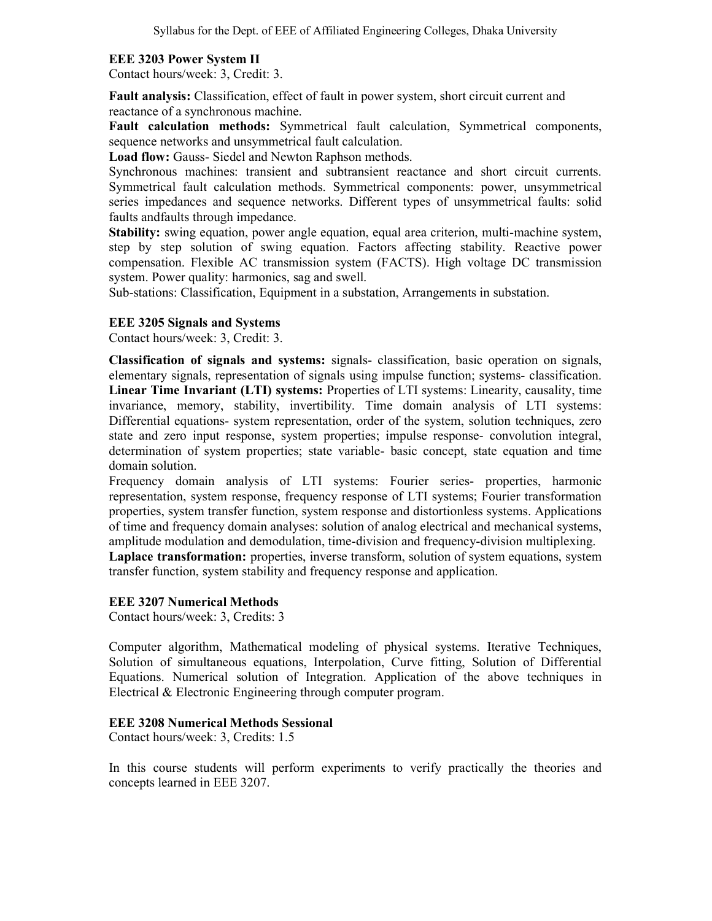## EEE 3203 Power System II

Contact hours/week: 3, Credit: 3.

Fault analysis: Classification, effect of fault in power system, short circuit current and reactance of a synchronous machine.

Fault calculation methods: Symmetrical fault calculation, Symmetrical components, sequence networks and unsymmetrical fault calculation.

Load flow: Gauss- Siedel and Newton Raphson methods.

Synchronous machines: transient and subtransient reactance and short circuit currents. Symmetrical fault calculation methods. Symmetrical components: power, unsymmetrical series impedances and sequence networks. Different types of unsymmetrical faults: solid faults andfaults through impedance.

Stability: swing equation, power angle equation, equal area criterion, multi-machine system, step by step solution of swing equation. Factors affecting stability. Reactive power compensation. Flexible AC transmission system (FACTS). High voltage DC transmission system. Power quality: harmonics, sag and swell.

Sub-stations: Classification, Equipment in a substation, Arrangements in substation.

## EEE 3205 Signals and Systems

Contact hours/week: 3, Credit: 3.

Classification of signals and systems: signals- classification, basic operation on signals, elementary signals, representation of signals using impulse function; systems- classification. Linear Time Invariant (LTI) systems: Properties of LTI systems: Linearity, causality, time invariance, memory, stability, invertibility. Time domain analysis of LTI systems: Differential equations- system representation, order of the system, solution techniques, zero state and zero input response, system properties; impulse response- convolution integral, determination of system properties; state variable- basic concept, state equation and time domain solution.

Frequency domain analysis of LTI systems: Fourier series- properties, harmonic representation, system response, frequency response of LTI systems; Fourier transformation properties, system transfer function, system response and distortionless systems. Applications of time and frequency domain analyses: solution of analog electrical and mechanical systems, amplitude modulation and demodulation, time-division and frequency-division multiplexing.

Laplace transformation: properties, inverse transform, solution of system equations, system transfer function, system stability and frequency response and application.

#### EEE 3207 Numerical Methods

Contact hours/week: 3, Credits: 3

Computer algorithm, Mathematical modeling of physical systems. Iterative Techniques, Solution of simultaneous equations, Interpolation, Curve fitting, Solution of Differential Equations. Numerical solution of Integration. Application of the above techniques in Electrical & Electronic Engineering through computer program.

#### EEE 3208 Numerical Methods Sessional

Contact hours/week: 3, Credits: 1.5

In this course students will perform experiments to verify practically the theories and concepts learned in EEE 3207.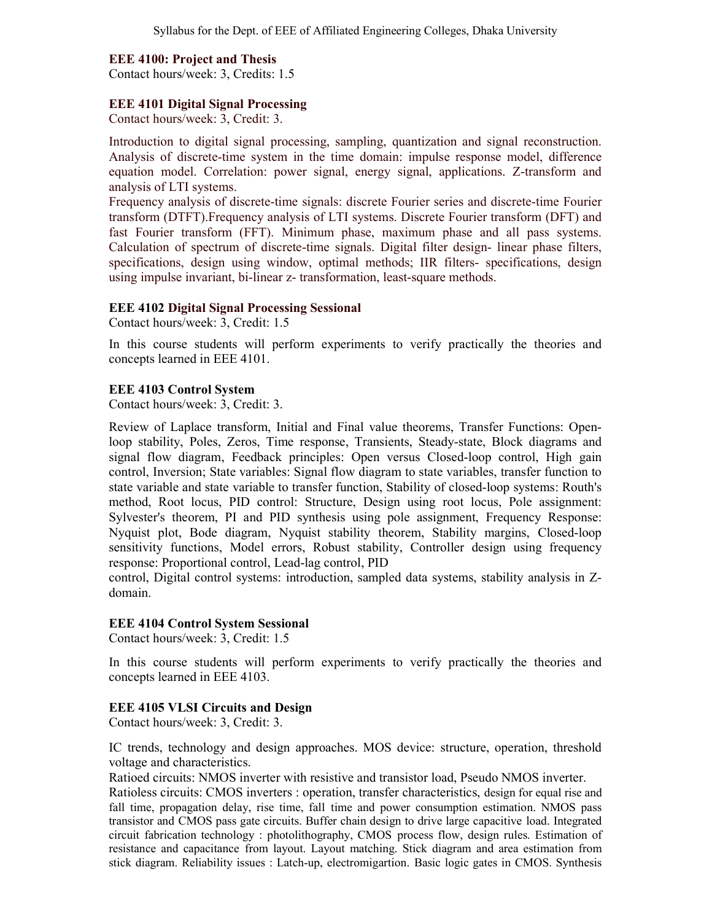## EEE 4100: Project and Thesis

Contact hours/week: 3, Credits: 1.5

#### EEE 4101 Digital Signal Processing

Contact hours/week: 3, Credit: 3.

Introduction to digital signal processing, sampling, quantization and signal reconstruction. Analysis of discrete-time system in the time domain: impulse response model, difference equation model. Correlation: power signal, energy signal, applications. Z-transform and analysis of LTI systems.

Frequency analysis of discrete-time signals: discrete Fourier series and discrete-time Fourier transform (DTFT).Frequency analysis of LTI systems. Discrete Fourier transform (DFT) and fast Fourier transform (FFT). Minimum phase, maximum phase and all pass systems. Calculation of spectrum of discrete-time signals. Digital filter design- linear phase filters, specifications, design using window, optimal methods; IIR filters- specifications, design using impulse invariant, bi-linear z- transformation, least-square methods.

#### EEE 4102 Digital Signal Processing Sessional

Contact hours/week: 3, Credit: 1.5

In this course students will perform experiments to verify practically the theories and concepts learned in EEE 4101.

#### EEE 4103 Control System

Contact hours/week: 3, Credit: 3.

Review of Laplace transform, Initial and Final value theorems, Transfer Functions: Openloop stability, Poles, Zeros, Time response, Transients, Steady-state, Block diagrams and signal flow diagram, Feedback principles: Open versus Closed-loop control, High gain control, Inversion; State variables: Signal flow diagram to state variables, transfer function to state variable and state variable to transfer function, Stability of closed-loop systems: Routh's method, Root locus, PID control: Structure, Design using root locus, Pole assignment: Sylvester's theorem, PI and PID synthesis using pole assignment, Frequency Response: Nyquist plot, Bode diagram, Nyquist stability theorem, Stability margins, Closed-loop sensitivity functions, Model errors, Robust stability, Controller design using frequency response: Proportional control, Lead-lag control, PID

control, Digital control systems: introduction, sampled data systems, stability analysis in Zdomain.

#### EEE 4104 Control System Sessional

Contact hours/week: 3, Credit: 1.5

In this course students will perform experiments to verify practically the theories and concepts learned in EEE 4103.

#### EEE 4105 VLSI Circuits and Design

Contact hours/week: 3, Credit: 3.

IC trends, technology and design approaches. MOS device: structure, operation, threshold voltage and characteristics.

Ratioed circuits: NMOS inverter with resistive and transistor load, Pseudo NMOS inverter.

Ratioless circuits: CMOS inverters : operation, transfer characteristics, design for equal rise and fall time, propagation delay, rise time, fall time and power consumption estimation. NMOS pass transistor and CMOS pass gate circuits. Buffer chain design to drive large capacitive load. Integrated circuit fabrication technology : photolithography, CMOS process flow, design rules. Estimation of resistance and capacitance from layout. Layout matching. Stick diagram and area estimation from stick diagram. Reliability issues : Latch-up, electromigartion. Basic logic gates in CMOS. Synthesis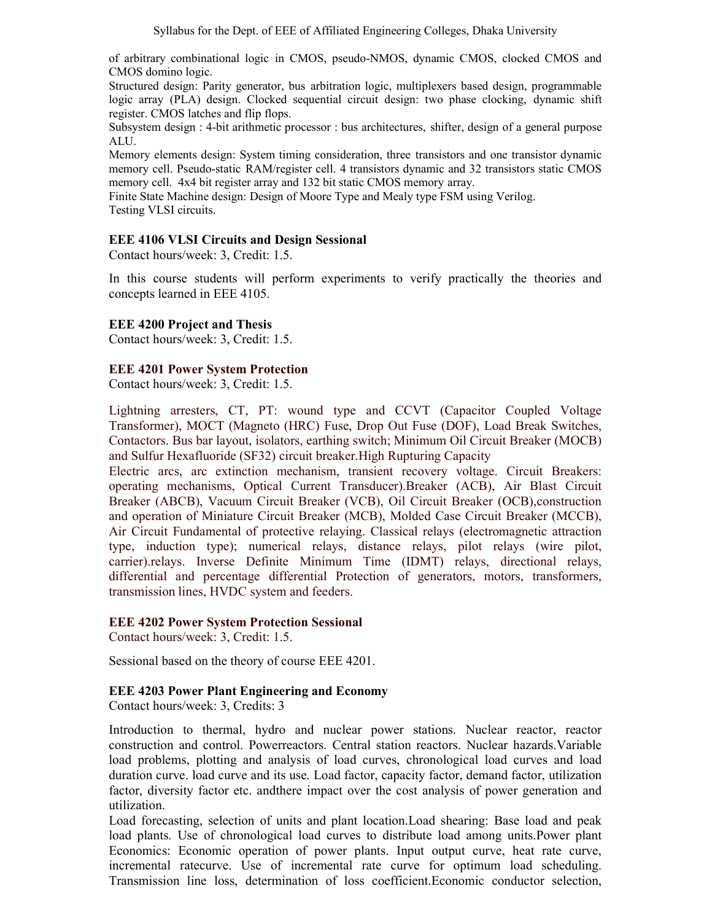of arbitrary combinational logic in CMOS, pseudo-NMOS, dynamic CMOS, clocked CMOS and CMOS domino logic.

Structured design: Parity generator, bus arbitration logic, multiplexers based design, programmable logic array (PLA) design. Clocked sequential circuit design: two phase clocking, dynamic shift register. CMOS latches and flip flops.

Subsystem design : 4-bit arithmetic processor : bus architectures, shifter, design of a general purpose ALU.

Memory elements design: System timing consideration, three transistors and one transistor dynamic memory cell. Pseudo-static RAM/register cell. 4 transistors dynamic and 32 transistors static CMOS memory cell. 4x4 bit register array and 132 bit static CMOS memory array.

Finite State Machine design: Design of Moore Type and Mealy type FSM using Verilog. Testing VLSI circuits.

#### EEE 4106 VLSI Circuits and Design Sessional

Contact hours/week: 3, Credit: 1.5.

In this course students will perform experiments to verify practically the theories and concepts learned in EEE 4105.

#### EEE 4200 Project and Thesis

Contact hours/week: 3, Credit: 1.5.

#### EEE 4201 Power System Protection

Contact hours/week: 3, Credit: 1.5.

Lightning arresters, CT, PT: wound type and CCVT (Capacitor Coupled Voltage Transformer), MOCT (Magneto (HRC) Fuse, Drop Out Fuse (DOF), Load Break Switches, Contactors. Bus bar layout, isolators, earthing switch; Minimum Oil Circuit Breaker (MOCB) and Sulfur Hexafluoride (SF32) circuit breaker.High Rupturing Capacity

Electric arcs, arc extinction mechanism, transient recovery voltage. Circuit Breakers: operating mechanisms, Optical Current Transducer).Breaker (ACB), Air Blast Circuit Breaker (ABCB), Vacuum Circuit Breaker (VCB), Oil Circuit Breaker (OCB),construction and operation of Miniature Circuit Breaker (MCB), Molded Case Circuit Breaker (MCCB), Air Circuit Fundamental of protective relaying. Classical relays (electromagnetic attraction type, induction type); numerical relays, distance relays, pilot relays (wire pilot, carrier).relays. Inverse Definite Minimum Time (IDMT) relays, directional relays, differential and percentage differential Protection of generators, motors, transformers, transmission lines, HVDC system and feeders.

#### EEE 4202 Power System Protection Sessional

Contact hours/week: 3, Credit: 1.5.

Sessional based on the theory of course EEE 4201.

#### EEE 4203 Power Plant Engineering and Economy

Contact hours/week: 3, Credits: 3

Introduction to thermal, hydro and nuclear power stations. Nuclear reactor, reactor construction and control. Powerreactors. Central station reactors. Nuclear hazards.Variable load problems, plotting and analysis of load curves, chronological load curves and load duration curve. load curve and its use. Load factor, capacity factor, demand factor, utilization factor, diversity factor etc. andthere impact over the cost analysis of power generation and utilization.

Load forecasting, selection of units and plant location.Load shearing: Base load and peak load plants. Use of chronological load curves to distribute load among units.Power plant Economics: Economic operation of power plants. Input output curve, heat rate curve, incremental ratecurve. Use of incremental rate curve for optimum load scheduling. Transmission line loss, determination of loss coefficient.Economic conductor selection,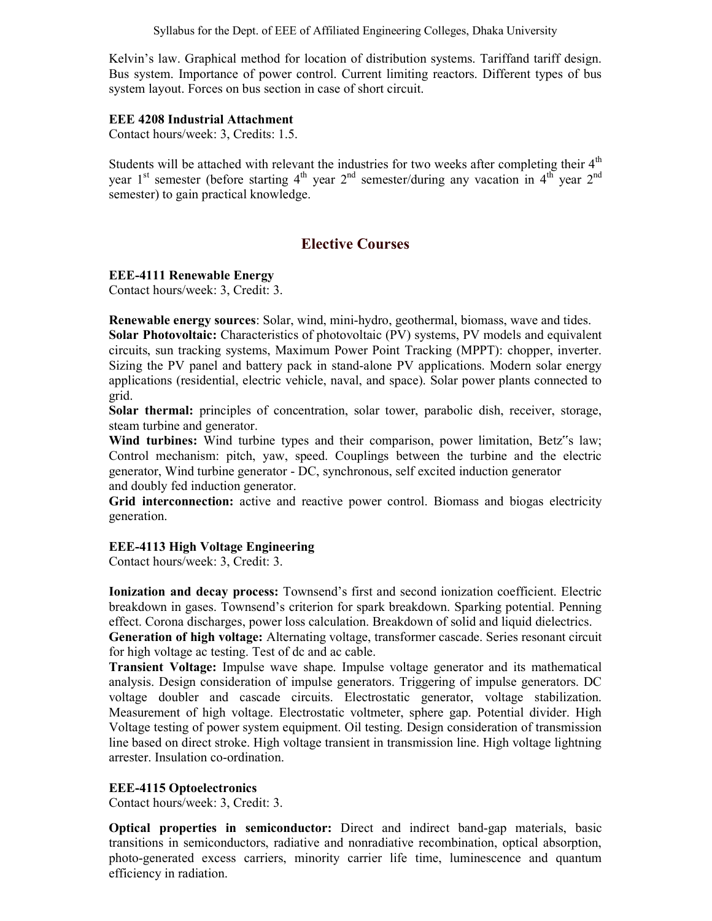Syllabus for the Dept. of EEE of Affiliated Engineering Colleges, Dhaka University

Kelvin's law. Graphical method for location of distribution systems. Tariffand tariff design. Bus system. Importance of power control. Current limiting reactors. Different types of bus system layout. Forces on bus section in case of short circuit.

#### EEE 4208 Industrial Attachment

Contact hours/week: 3, Credits: 1.5.

Students will be attached with relevant the industries for two weeks after completing their  $4<sup>th</sup>$ year 1<sup>st</sup> semester (before starting  $4<sup>th</sup>$  year  $2<sup>nd</sup>$  semester/during any vacation in  $4<sup>th</sup>$  year  $2<sup>nd</sup>$ semester) to gain practical knowledge.

# Elective Courses

#### EEE-4111 Renewable Energy

Contact hours/week: 3, Credit: 3.

Renewable energy sources: Solar, wind, mini-hydro, geothermal, biomass, wave and tides. Solar Photovoltaic: Characteristics of photovoltaic (PV) systems, PV models and equivalent circuits, sun tracking systems, Maximum Power Point Tracking (MPPT): chopper, inverter. Sizing the PV panel and battery pack in stand-alone PV applications. Modern solar energy applications (residential, electric vehicle, naval, and space). Solar power plants connected to grid.

Solar thermal: principles of concentration, solar tower, parabolic dish, receiver, storage, steam turbine and generator.

Wind turbines: Wind turbine types and their comparison, power limitation, Betz"s law; Control mechanism: pitch, yaw, speed. Couplings between the turbine and the electric generator, Wind turbine generator - DC, synchronous, self excited induction generator and doubly fed induction generator.

Grid interconnection: active and reactive power control. Biomass and biogas electricity generation.

#### EEE-4113 High Voltage Engineering

Contact hours/week: 3, Credit: 3.

Ionization and decay process: Townsend's first and second ionization coefficient. Electric breakdown in gases. Townsend's criterion for spark breakdown. Sparking potential. Penning effect. Corona discharges, power loss calculation. Breakdown of solid and liquid dielectrics. Generation of high voltage: Alternating voltage, transformer cascade. Series resonant circuit for high voltage ac testing. Test of dc and ac cable.

Transient Voltage: Impulse wave shape. Impulse voltage generator and its mathematical analysis. Design consideration of impulse generators. Triggering of impulse generators. DC voltage doubler and cascade circuits. Electrostatic generator, voltage stabilization. Measurement of high voltage. Electrostatic voltmeter, sphere gap. Potential divider. High Voltage testing of power system equipment. Oil testing. Design consideration of transmission line based on direct stroke. High voltage transient in transmission line. High voltage lightning arrester. Insulation co-ordination.

#### EEE-4115 Optoelectronics

Contact hours/week: 3, Credit: 3.

Optical properties in semiconductor: Direct and indirect band-gap materials, basic transitions in semiconductors, radiative and nonradiative recombination, optical absorption, photo-generated excess carriers, minority carrier life time, luminescence and quantum efficiency in radiation.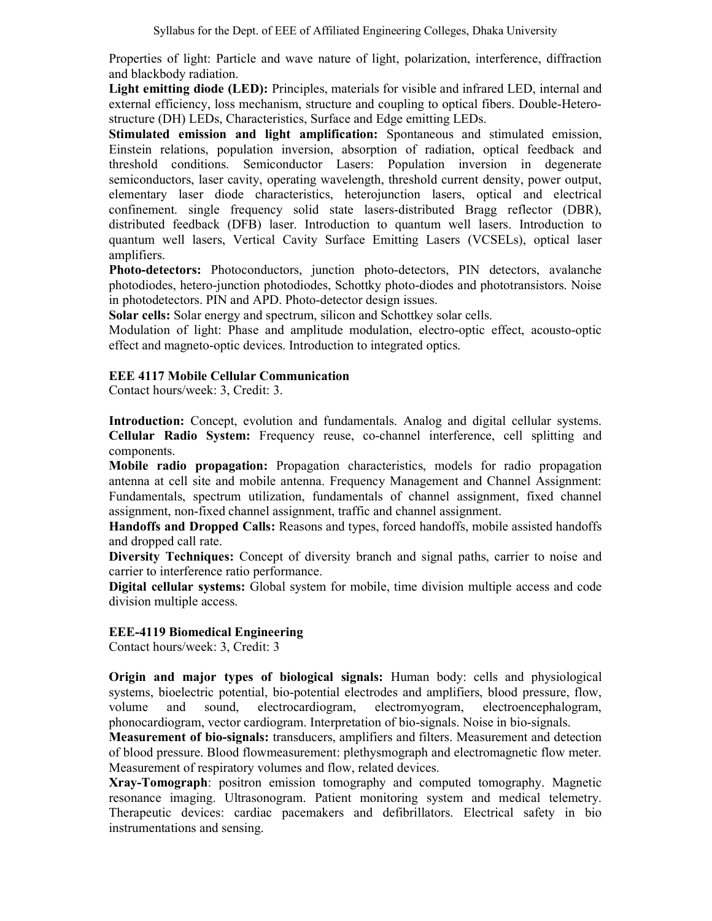Properties of light: Particle and wave nature of light, polarization, interference, diffraction and blackbody radiation.

Light emitting diode (LED): Principles, materials for visible and infrared LED, internal and external efficiency, loss mechanism, structure and coupling to optical fibers. Double-Heterostructure (DH) LEDs, Characteristics, Surface and Edge emitting LEDs.

Stimulated emission and light amplification: Spontaneous and stimulated emission, Einstein relations, population inversion, absorption of radiation, optical feedback and threshold conditions. Semiconductor Lasers: Population inversion in degenerate semiconductors, laser cavity, operating wavelength, threshold current density, power output, elementary laser diode characteristics, heterojunction lasers, optical and electrical confinement. single frequency solid state lasers-distributed Bragg reflector (DBR), distributed feedback (DFB) laser. Introduction to quantum well lasers. Introduction to quantum well lasers, Vertical Cavity Surface Emitting Lasers (VCSELs), optical laser amplifiers.

Photo-detectors: Photoconductors, junction photo-detectors, PIN detectors, avalanche photodiodes, hetero-junction photodiodes, Schottky photo-diodes and phototransistors. Noise in photodetectors. PIN and APD. Photo-detector design issues.

Solar cells: Solar energy and spectrum, silicon and Schottkey solar cells.

Modulation of light: Phase and amplitude modulation, electro-optic effect, acousto-optic effect and magneto-optic devices. Introduction to integrated optics.

## EEE 4117 Mobile Cellular Communication

Contact hours/week: 3, Credit: 3.

Introduction: Concept, evolution and fundamentals. Analog and digital cellular systems. Cellular Radio System: Frequency reuse, co-channel interference, cell splitting and components.

Mobile radio propagation: Propagation characteristics, models for radio propagation antenna at cell site and mobile antenna. Frequency Management and Channel Assignment: Fundamentals, spectrum utilization, fundamentals of channel assignment, fixed channel assignment, non-fixed channel assignment, traffic and channel assignment.

Handoffs and Dropped Calls: Reasons and types, forced handoffs, mobile assisted handoffs and dropped call rate.

Diversity Techniques: Concept of diversity branch and signal paths, carrier to noise and carrier to interference ratio performance.

Digital cellular systems: Global system for mobile, time division multiple access and code division multiple access.

## EEE-4119 Biomedical Engineering

Contact hours/week: 3, Credit: 3

Origin and major types of biological signals: Human body: cells and physiological systems, bioelectric potential, bio-potential electrodes and amplifiers, blood pressure, flow, volume and sound, electrocardiogram, electromyogram, electroencephalogram, phonocardiogram, vector cardiogram. Interpretation of bio-signals. Noise in bio-signals.

Measurement of bio-signals: transducers, amplifiers and filters. Measurement and detection of blood pressure. Blood flowmeasurement: plethysmograph and electromagnetic flow meter. Measurement of respiratory volumes and flow, related devices.

Xray-Tomograph: positron emission tomography and computed tomography. Magnetic resonance imaging. Ultrasonogram. Patient monitoring system and medical telemetry. Therapeutic devices: cardiac pacemakers and defibrillators. Electrical safety in bio instrumentations and sensing.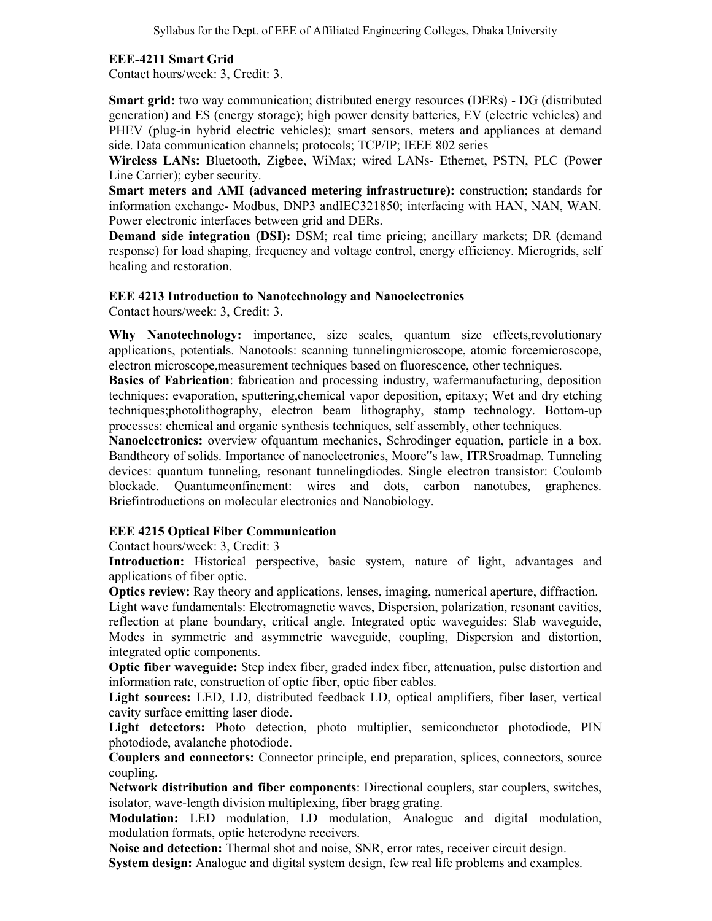## EEE-4211 Smart Grid

Contact hours/week: 3, Credit: 3.

Smart grid: two way communication; distributed energy resources (DERs) - DG (distributed generation) and ES (energy storage); high power density batteries, EV (electric vehicles) and PHEV (plug-in hybrid electric vehicles); smart sensors, meters and appliances at demand side. Data communication channels; protocols; TCP/IP; IEEE 802 series

Wireless LANs: Bluetooth, Zigbee, WiMax; wired LANs- Ethernet, PSTN, PLC (Power Line Carrier); cyber security.

Smart meters and AMI (advanced metering infrastructure): construction; standards for information exchange- Modbus, DNP3 andIEC321850; interfacing with HAN, NAN, WAN. Power electronic interfaces between grid and DERs.

Demand side integration (DSI): DSM; real time pricing; ancillary markets; DR (demand response) for load shaping, frequency and voltage control, energy efficiency. Microgrids, self healing and restoration.

## EEE 4213 Introduction to Nanotechnology and Nanoelectronics

Contact hours/week: 3, Credit: 3.

Why Nanotechnology: importance, size scales, quantum size effects, revolutionary applications, potentials. Nanotools: scanning tunnelingmicroscope, atomic forcemicroscope, electron microscope,measurement techniques based on fluorescence, other techniques.

Basics of Fabrication: fabrication and processing industry, wafermanufacturing, deposition techniques: evaporation, sputtering,chemical vapor deposition, epitaxy; Wet and dry etching techniques;photolithography, electron beam lithography, stamp technology. Bottom-up processes: chemical and organic synthesis techniques, self assembly, other techniques.

Nanoelectronics: overview ofquantum mechanics, Schrodinger equation, particle in a box. Bandtheory of solids. Importance of nanoelectronics, Moore"s law, ITRSroadmap. Tunneling devices: quantum tunneling, resonant tunnelingdiodes. Single electron transistor: Coulomb blockade. Quantumconfinement: wires and dots, carbon nanotubes, graphenes. Briefintroductions on molecular electronics and Nanobiology.

## EEE 4215 Optical Fiber Communication

Contact hours/week: 3, Credit: 3

Introduction: Historical perspective, basic system, nature of light, advantages and applications of fiber optic.

Optics review: Ray theory and applications, lenses, imaging, numerical aperture, diffraction. Light wave fundamentals: Electromagnetic waves, Dispersion, polarization, resonant cavities, reflection at plane boundary, critical angle. Integrated optic waveguides: Slab waveguide, Modes in symmetric and asymmetric waveguide, coupling, Dispersion and distortion, integrated optic components.

Optic fiber waveguide: Step index fiber, graded index fiber, attenuation, pulse distortion and information rate, construction of optic fiber, optic fiber cables.

Light sources: LED, LD, distributed feedback LD, optical amplifiers, fiber laser, vertical cavity surface emitting laser diode.

Light detectors: Photo detection, photo multiplier, semiconductor photodiode, PIN photodiode, avalanche photodiode.

Couplers and connectors: Connector principle, end preparation, splices, connectors, source coupling.

Network distribution and fiber components: Directional couplers, star couplers, switches, isolator, wave-length division multiplexing, fiber bragg grating.

Modulation: LED modulation, LD modulation, Analogue and digital modulation, modulation formats, optic heterodyne receivers.

Noise and detection: Thermal shot and noise, SNR, error rates, receiver circuit design. System design: Analogue and digital system design, few real life problems and examples.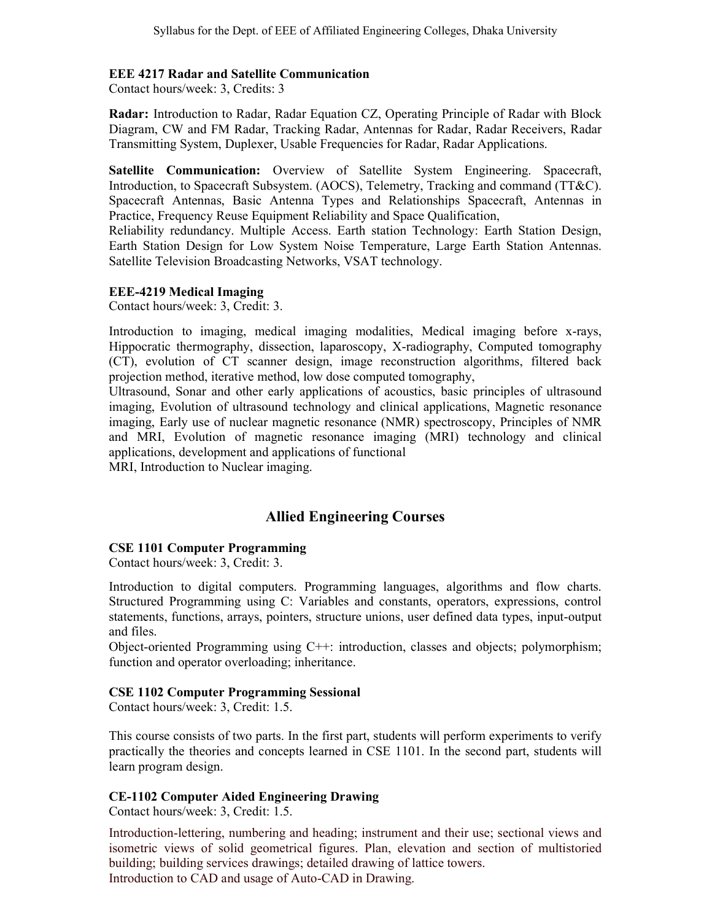## EEE 4217 Radar and Satellite Communication

Contact hours/week: 3, Credits: 3

Radar: Introduction to Radar, Radar Equation CZ, Operating Principle of Radar with Block Diagram, CW and FM Radar, Tracking Radar, Antennas for Radar, Radar Receivers, Radar Transmitting System, Duplexer, Usable Frequencies for Radar, Radar Applications.

Satellite Communication: Overview of Satellite System Engineering. Spacecraft, Introduction, to Spacecraft Subsystem. (AOCS), Telemetry, Tracking and command (TT&C). Spacecraft Antennas, Basic Antenna Types and Relationships Spacecraft, Antennas in Practice, Frequency Reuse Equipment Reliability and Space Qualification,

Reliability redundancy. Multiple Access. Earth station Technology: Earth Station Design, Earth Station Design for Low System Noise Temperature, Large Earth Station Antennas. Satellite Television Broadcasting Networks, VSAT technology.

## EEE-4219 Medical Imaging

Contact hours/week: 3, Credit: 3.

Introduction to imaging, medical imaging modalities, Medical imaging before x-rays, Hippocratic thermography, dissection, laparoscopy, X-radiography, Computed tomography (CT), evolution of CT scanner design, image reconstruction algorithms, filtered back projection method, iterative method, low dose computed tomography,

Ultrasound, Sonar and other early applications of acoustics, basic principles of ultrasound imaging, Evolution of ultrasound technology and clinical applications, Magnetic resonance imaging, Early use of nuclear magnetic resonance (NMR) spectroscopy, Principles of NMR and MRI, Evolution of magnetic resonance imaging (MRI) technology and clinical applications, development and applications of functional

MRI, Introduction to Nuclear imaging.

# Allied Engineering Courses

## CSE 1101 Computer Programming

Contact hours/week: 3, Credit: 3.

Introduction to digital computers. Programming languages, algorithms and flow charts. Structured Programming using C: Variables and constants, operators, expressions, control statements, functions, arrays, pointers, structure unions, user defined data types, input-output and files.

Object-oriented Programming using C++: introduction, classes and objects; polymorphism; function and operator overloading; inheritance.

## CSE 1102 Computer Programming Sessional

Contact hours/week: 3, Credit: 1.5.

This course consists of two parts. In the first part, students will perform experiments to verify practically the theories and concepts learned in CSE 1101. In the second part, students will learn program design.

## CE-1102 Computer Aided Engineering Drawing

Contact hours/week: 3, Credit: 1.5.

Introduction-lettering, numbering and heading; instrument and their use; sectional views and isometric views of solid geometrical figures. Plan, elevation and section of multistoried building; building services drawings; detailed drawing of lattice towers. Introduction to CAD and usage of Auto-CAD in Drawing.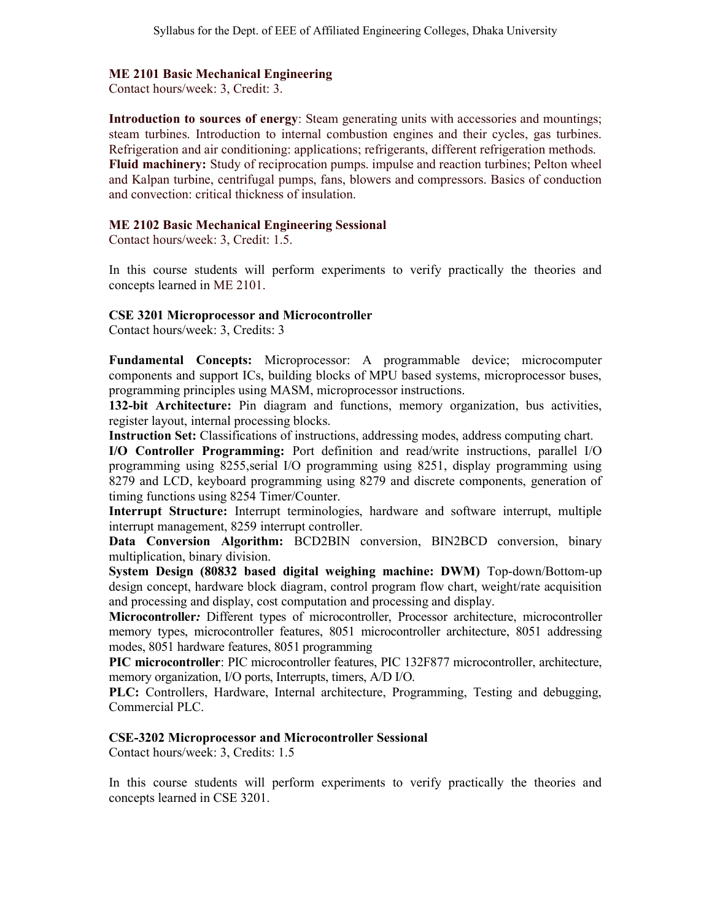#### ME 2101 Basic Mechanical Engineering

Contact hours/week: 3, Credit: 3.

Introduction to sources of energy: Steam generating units with accessories and mountings; steam turbines. Introduction to internal combustion engines and their cycles, gas turbines. Refrigeration and air conditioning: applications; refrigerants, different refrigeration methods. Fluid machinery: Study of reciprocation pumps. impulse and reaction turbines; Pelton wheel and Kalpan turbine, centrifugal pumps, fans, blowers and compressors. Basics of conduction and convection: critical thickness of insulation.

#### ME 2102 Basic Mechanical Engineering Sessional

Contact hours/week: 3, Credit: 1.5.

In this course students will perform experiments to verify practically the theories and concepts learned in ME 2101.

#### CSE 3201 Microprocessor and Microcontroller

Contact hours/week: 3, Credits: 3

Fundamental Concepts: Microprocessor: A programmable device; microcomputer components and support ICs, building blocks of MPU based systems, microprocessor buses, programming principles using MASM, microprocessor instructions.

132-bit Architecture: Pin diagram and functions, memory organization, bus activities, register layout, internal processing blocks.

Instruction Set: Classifications of instructions, addressing modes, address computing chart.

I/O Controller Programming: Port definition and read/write instructions, parallel I/O programming using 8255,serial I/O programming using 8251, display programming using 8279 and LCD, keyboard programming using 8279 and discrete components, generation of timing functions using 8254 Timer/Counter.

Interrupt Structure: Interrupt terminologies, hardware and software interrupt, multiple interrupt management, 8259 interrupt controller.

Data Conversion Algorithm: BCD2BIN conversion, BIN2BCD conversion, binary multiplication, binary division.

System Design (80832 based digital weighing machine: DWM) Top-down/Bottom-up design concept, hardware block diagram, control program flow chart, weight/rate acquisition and processing and display, cost computation and processing and display.

Microcontroller: Different types of microcontroller, Processor architecture, microcontroller memory types, microcontroller features, 8051 microcontroller architecture, 8051 addressing modes, 8051 hardware features, 8051 programming

PIC microcontroller: PIC microcontroller features, PIC 132F877 microcontroller, architecture, memory organization, I/O ports, Interrupts, timers, A/D I/O.

PLC: Controllers, Hardware, Internal architecture, Programming, Testing and debugging, Commercial PLC.

#### CSE-3202 Microprocessor and Microcontroller Sessional

Contact hours/week: 3, Credits: 1.5

In this course students will perform experiments to verify practically the theories and concepts learned in CSE 3201.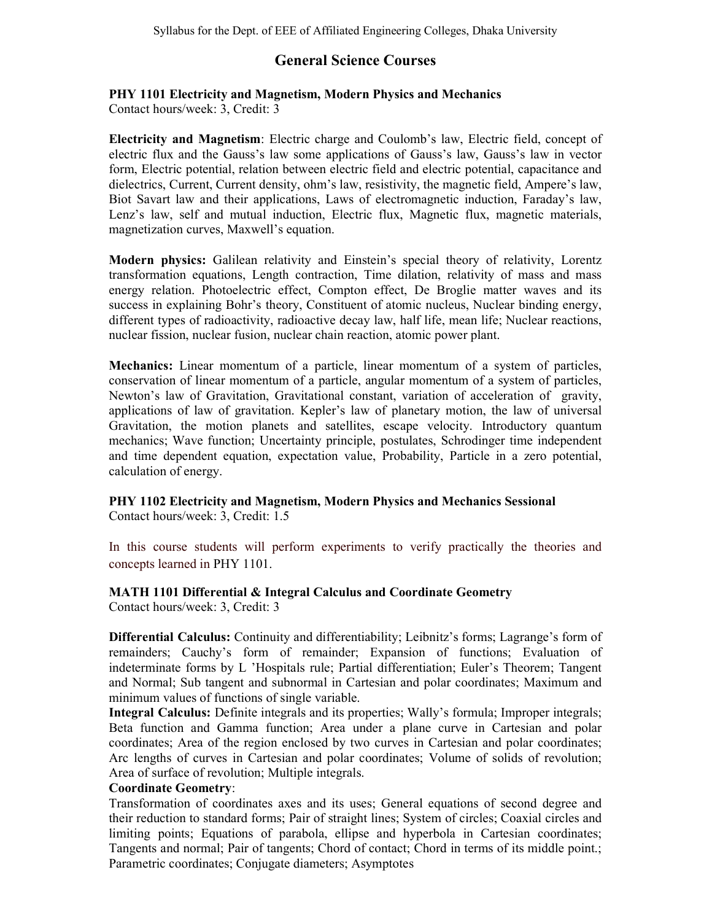# General Science Courses

# PHY 1101 Electricity and Magnetism, Modern Physics and Mechanics

Contact hours/week: 3, Credit: 3

Electricity and Magnetism: Electric charge and Coulomb's law, Electric field, concept of electric flux and the Gauss's law some applications of Gauss's law, Gauss's law in vector form, Electric potential, relation between electric field and electric potential, capacitance and dielectrics, Current, Current density, ohm's law, resistivity, the magnetic field, Ampere's law, Biot Savart law and their applications, Laws of electromagnetic induction, Faraday's law, Lenz's law, self and mutual induction, Electric flux, Magnetic flux, magnetic materials, magnetization curves, Maxwell's equation.

Modern physics: Galilean relativity and Einstein's special theory of relativity, Lorentz transformation equations, Length contraction, Time dilation, relativity of mass and mass energy relation. Photoelectric effect, Compton effect, De Broglie matter waves and its success in explaining Bohr's theory, Constituent of atomic nucleus, Nuclear binding energy, different types of radioactivity, radioactive decay law, half life, mean life; Nuclear reactions, nuclear fission, nuclear fusion, nuclear chain reaction, atomic power plant.

Mechanics: Linear momentum of a particle, linear momentum of a system of particles, conservation of linear momentum of a particle, angular momentum of a system of particles, Newton's law of Gravitation, Gravitational constant, variation of acceleration of gravity, applications of law of gravitation. Kepler's law of planetary motion, the law of universal Gravitation, the motion planets and satellites, escape velocity. Introductory quantum mechanics; Wave function; Uncertainty principle, postulates, Schrodinger time independent and time dependent equation, expectation value, Probability, Particle in a zero potential, calculation of energy.

# PHY 1102 Electricity and Magnetism, Modern Physics and Mechanics Sessional

Contact hours/week: 3, Credit: 1.5

In this course students will perform experiments to verify practically the theories and concepts learned in PHY 1101.

# MATH 1101 Differential & Integral Calculus and Coordinate Geometry

Contact hours/week: 3, Credit: 3

Differential Calculus: Continuity and differentiability; Leibnitz's forms; Lagrange's form of remainders; Cauchy's form of remainder; Expansion of functions; Evaluation of indeterminate forms by L 'Hospitals rule; Partial differentiation; Euler's Theorem; Tangent and Normal; Sub tangent and subnormal in Cartesian and polar coordinates; Maximum and minimum values of functions of single variable.

Integral Calculus: Definite integrals and its properties; Wally's formula; Improper integrals; Beta function and Gamma function; Area under a plane curve in Cartesian and polar coordinates; Area of the region enclosed by two curves in Cartesian and polar coordinates; Arc lengths of curves in Cartesian and polar coordinates; Volume of solids of revolution; Area of surface of revolution; Multiple integrals.

## Coordinate Geometry:

Transformation of coordinates axes and its uses; General equations of second degree and their reduction to standard forms; Pair of straight lines; System of circles; Coaxial circles and limiting points; Equations of parabola, ellipse and hyperbola in Cartesian coordinates; Tangents and normal; Pair of tangents; Chord of contact; Chord in terms of its middle point.; Parametric coordinates; Conjugate diameters; Asymptotes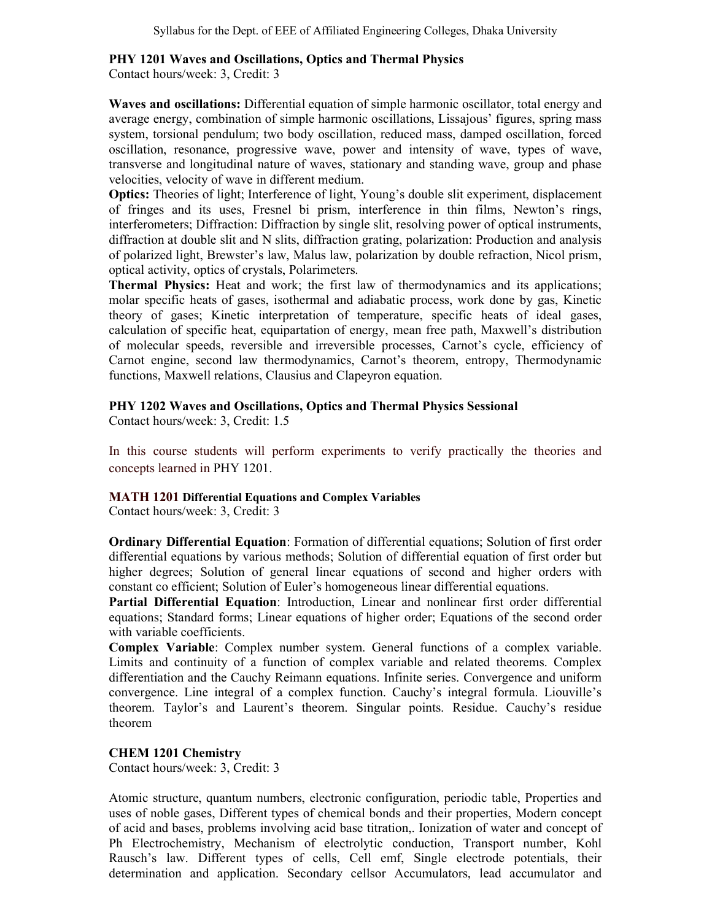#### PHY 1201 Waves and Oscillations, Optics and Thermal Physics

Contact hours/week: 3, Credit: 3

Waves and oscillations: Differential equation of simple harmonic oscillator, total energy and average energy, combination of simple harmonic oscillations, Lissajous' figures, spring mass system, torsional pendulum; two body oscillation, reduced mass, damped oscillation, forced oscillation, resonance, progressive wave, power and intensity of wave, types of wave, transverse and longitudinal nature of waves, stationary and standing wave, group and phase velocities, velocity of wave in different medium.

Optics: Theories of light; Interference of light, Young's double slit experiment, displacement of fringes and its uses, Fresnel bi prism, interference in thin films, Newton's rings, interferometers; Diffraction: Diffraction by single slit, resolving power of optical instruments, diffraction at double slit and N slits, diffraction grating, polarization: Production and analysis of polarized light, Brewster's law, Malus law, polarization by double refraction, Nicol prism, optical activity, optics of crystals, Polarimeters.

Thermal Physics: Heat and work; the first law of thermodynamics and its applications; molar specific heats of gases, isothermal and adiabatic process, work done by gas, Kinetic theory of gases; Kinetic interpretation of temperature, specific heats of ideal gases, calculation of specific heat, equipartation of energy, mean free path, Maxwell's distribution of molecular speeds, reversible and irreversible processes, Carnot's cycle, efficiency of Carnot engine, second law thermodynamics, Carnot's theorem, entropy, Thermodynamic functions, Maxwell relations, Clausius and Clapeyron equation.

## PHY 1202 Waves and Oscillations, Optics and Thermal Physics Sessional

Contact hours/week: 3, Credit: 1.5

In this course students will perform experiments to verify practically the theories and concepts learned in PHY 1201.

#### MATH 1201 Differential Equations and Complex Variables

Contact hours/week: 3, Credit: 3

Ordinary Differential Equation: Formation of differential equations; Solution of first order differential equations by various methods; Solution of differential equation of first order but higher degrees; Solution of general linear equations of second and higher orders with constant co efficient; Solution of Euler's homogeneous linear differential equations.

Partial Differential Equation: Introduction, Linear and nonlinear first order differential equations; Standard forms; Linear equations of higher order; Equations of the second order with variable coefficients.

Complex Variable: Complex number system. General functions of a complex variable. Limits and continuity of a function of complex variable and related theorems. Complex differentiation and the Cauchy Reimann equations. Infinite series. Convergence and uniform convergence. Line integral of a complex function. Cauchy's integral formula. Liouville's theorem. Taylor's and Laurent's theorem. Singular points. Residue. Cauchy's residue theorem

#### CHEM 1201 Chemistry

Contact hours/week: 3, Credit: 3

Atomic structure, quantum numbers, electronic configuration, periodic table, Properties and uses of noble gases, Different types of chemical bonds and their properties, Modern concept of acid and bases, problems involving acid base titration,. Ionization of water and concept of Ph Electrochemistry, Mechanism of electrolytic conduction, Transport number, Kohl Rausch's law. Different types of cells, Cell emf, Single electrode potentials, their determination and application. Secondary cellsor Accumulators, lead accumulator and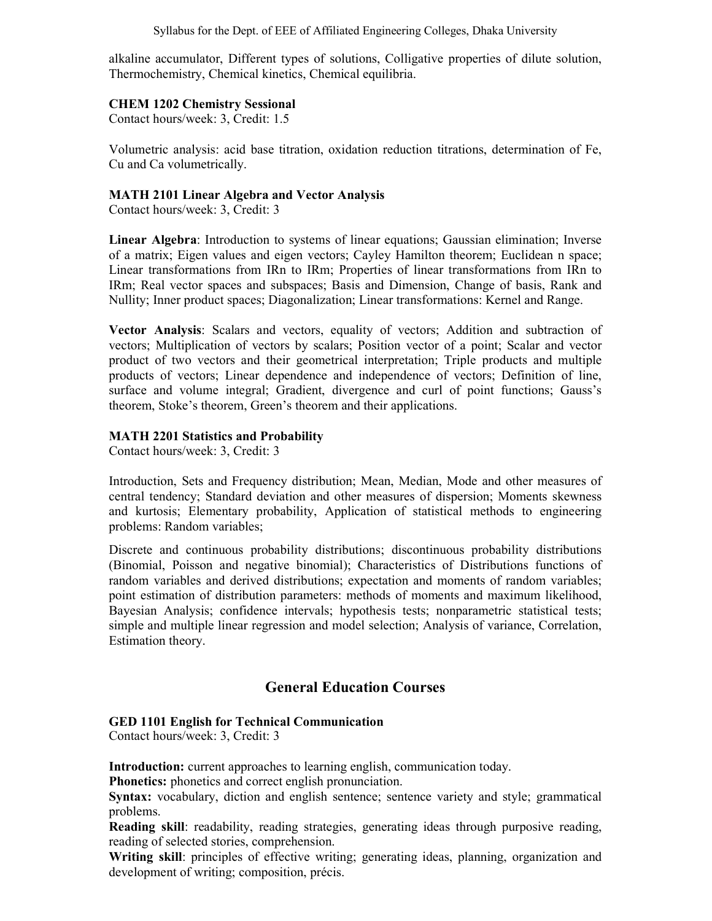Syllabus for the Dept. of EEE of Affiliated Engineering Colleges, Dhaka University

alkaline accumulator, Different types of solutions, Colligative properties of dilute solution, Thermochemistry, Chemical kinetics, Chemical equilibria.

## CHEM 1202 Chemistry Sessional

Contact hours/week: 3, Credit: 1.5

Volumetric analysis: acid base titration, oxidation reduction titrations, determination of Fe, Cu and Ca volumetrically.

## MATH 2101 Linear Algebra and Vector Analysis

Contact hours/week: 3, Credit: 3

Linear Algebra: Introduction to systems of linear equations; Gaussian elimination; Inverse of a matrix; Eigen values and eigen vectors; Cayley Hamilton theorem; Euclidean n space; Linear transformations from IRn to IRm; Properties of linear transformations from IRn to IRm; Real vector spaces and subspaces; Basis and Dimension, Change of basis, Rank and Nullity; Inner product spaces; Diagonalization; Linear transformations: Kernel and Range.

Vector Analysis: Scalars and vectors, equality of vectors; Addition and subtraction of vectors; Multiplication of vectors by scalars; Position vector of a point; Scalar and vector product of two vectors and their geometrical interpretation; Triple products and multiple products of vectors; Linear dependence and independence of vectors; Definition of line, surface and volume integral; Gradient, divergence and curl of point functions; Gauss's theorem, Stoke's theorem, Green's theorem and their applications.

## MATH 2201 Statistics and Probability

Contact hours/week: 3, Credit: 3

Introduction, Sets and Frequency distribution; Mean, Median, Mode and other measures of central tendency; Standard deviation and other measures of dispersion; Moments skewness and kurtosis; Elementary probability, Application of statistical methods to engineering problems: Random variables;

Discrete and continuous probability distributions; discontinuous probability distributions (Binomial, Poisson and negative binomial); Characteristics of Distributions functions of random variables and derived distributions; expectation and moments of random variables; point estimation of distribution parameters: methods of moments and maximum likelihood, Bayesian Analysis; confidence intervals; hypothesis tests; nonparametric statistical tests; simple and multiple linear regression and model selection; Analysis of variance, Correlation, Estimation theory.

# General Education Courses

## GED 1101 English for Technical Communication

Contact hours/week: 3, Credit: 3

Introduction: current approaches to learning english, communication today.

Phonetics: phonetics and correct english pronunciation.

Syntax: vocabulary, diction and english sentence; sentence variety and style; grammatical problems.

Reading skill: readability, reading strategies, generating ideas through purposive reading, reading of selected stories, comprehension.

Writing skill: principles of effective writing; generating ideas, planning, organization and development of writing; composition, précis.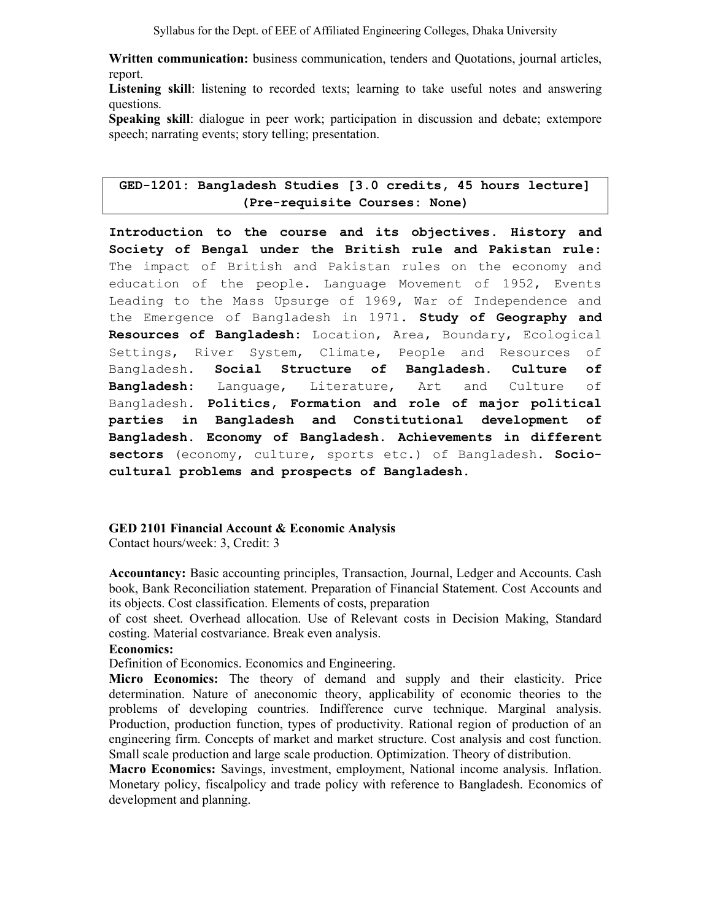Syllabus for the Dept. of EEE of Affiliated Engineering Colleges, Dhaka University

Written communication: business communication, tenders and Quotations, journal articles, report.

Listening skill: listening to recorded texts; learning to take useful notes and answering questions.

Speaking skill: dialogue in peer work; participation in discussion and debate; extempore speech; narrating events; story telling; presentation.

## GED-1201: Bangladesh Studies [3.0 credits, 45 hours lecture] (Pre-requisite Courses: None)

Introduction to the course and its objectives. History and Society of Bengal under the British rule and Pakistan rule: The impact of British and Pakistan rules on the economy and education of the people. Language Movement of 1952, Events Leading to the Mass Upsurge of 1969, War of Independence and the Emergence of Bangladesh in 1971. Study of Geography and Resources of Bangladesh: Location, Area, Boundary, Ecological Settings, River System, Climate, People and Resources of Bangladesh. Social Structure of Bangladesh. Culture of Bangladesh: Language, Literature, Art and Culture of Bangladesh. Politics, Formation and role of major political parties in Bangladesh and Constitutional development of Bangladesh. Economy of Bangladesh. Achievements in different sectors (economy, culture, sports etc.) of Bangladesh. Sociocultural problems and prospects of Bangladesh.

#### GED 2101 Financial Account & Economic Analysis

Contact hours/week: 3, Credit: 3

Accountancy: Basic accounting principles, Transaction, Journal, Ledger and Accounts. Cash book, Bank Reconciliation statement. Preparation of Financial Statement. Cost Accounts and its objects. Cost classification. Elements of costs, preparation

of cost sheet. Overhead allocation. Use of Relevant costs in Decision Making, Standard costing. Material costvariance. Break even analysis.

#### Economics:

Definition of Economics. Economics and Engineering.

Micro Economics: The theory of demand and supply and their elasticity. Price determination. Nature of aneconomic theory, applicability of economic theories to the problems of developing countries. Indifference curve technique. Marginal analysis. Production, production function, types of productivity. Rational region of production of an engineering firm. Concepts of market and market structure. Cost analysis and cost function. Small scale production and large scale production. Optimization. Theory of distribution.

Macro Economics: Savings, investment, employment, National income analysis. Inflation. Monetary policy, fiscalpolicy and trade policy with reference to Bangladesh. Economics of development and planning.